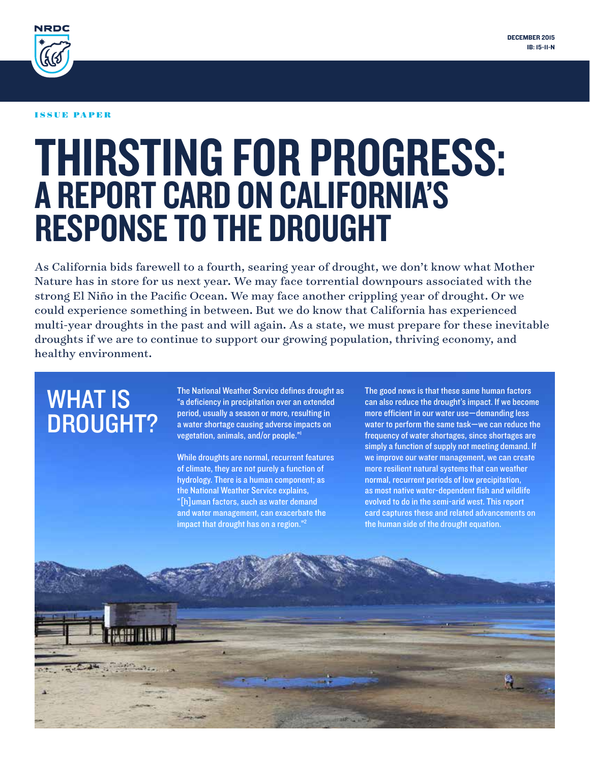

#### issue paper

# Thirsting for Progress: A Report Card on California's Response to the Drought

As California bids farewell to a fourth, searing year of drought, we don't know what Mother Nature has in store for us next year. We may face torrential downpours associated with the strong El Niño in the Pacific Ocean. We may face another crippling year of drought. Or we could experience something in between. But we do know that California has experienced multi-year droughts in the past and will again. As a state, we must prepare for these inevitable droughts if we are to continue to support our growing population, thriving economy, and healthy environment.

# **WHAT IS** DROUGHT?

The National Weather Service defines drought as "a deficiency in precipitation over an extended period, usually a season or more, resulting in a water shortage causing adverse impacts on vegetation, animals, and/or people."1

While droughts are normal, recurrent features of climate, they are not purely a function of hydrology. There is a human component; as the National Weather Service explains, "[h]uman factors, such as water demand and water management, can exacerbate the impact that drought has on a region."<sup>2</sup>

The good news is that these same human factors can also reduce the drought's impact. If we become more efficient in our water use—demanding less water to perform the same task—we can reduce the frequency of water shortages, since shortages are simply a function of supply not meeting demand. If we improve our water management, we can create more resilient natural systems that can weather normal, recurrent periods of low precipitation, as most native water-dependent fish and wildlife evolved to do in the semi-arid west. This report card captures these and related advancements on the human side of the drought equation.

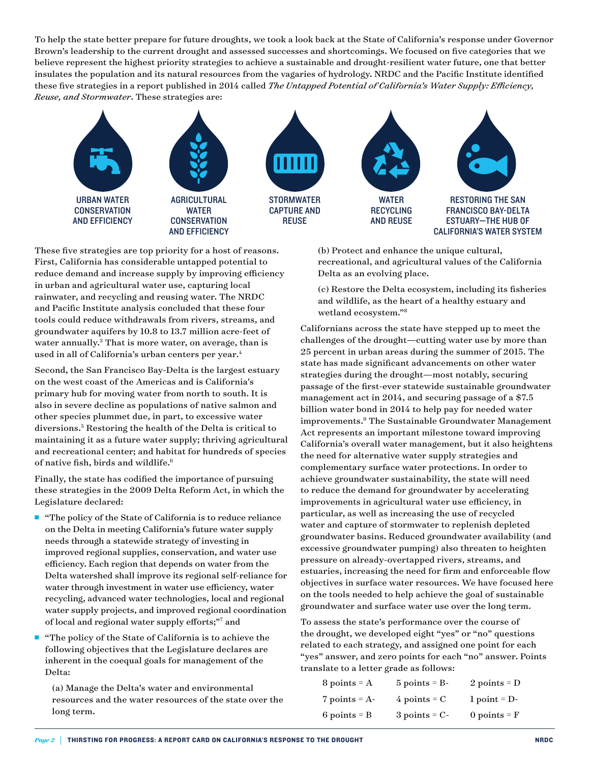To help the state better prepare for future droughts, we took a look back at the State of California's response under Governor Brown's leadership to the current drought and assessed successes and shortcomings. We focused on five categories that we believe represent the highest priority strategies to achieve a sustainable and drought-resilient water future, one that better insulates the population and its natural resources from the vagaries of hydrology. NRDC and the Pacific Institute identified these five strategies in a report published in 2014 called *[The Untapped Potential of California's Water Supply: Efficiency,](http://www.nrdc.org/water/ca-water-supply-solutions.asp)  [Reuse, and Stormwater](http://www.nrdc.org/water/ca-water-supply-solutions.asp)*. These strategies are:



These five strategies are top priority for a host of reasons. First, California has considerable untapped potential to reduce demand and increase supply by improving efficiency in urban and agricultural water use, capturing local rainwater, and recycling and reusing water. The NRDC and Pacific Institute analysis concluded that these four tools could reduce withdrawals from rivers, streams, and groundwater aquifers by 10.8 to 13.7 million acre-feet of water annually.<sup>3</sup> That is more water, on average, than is used in all of California's urban centers per year.<sup>4</sup>

Second, the San Francisco Bay-Delta is the largest estuary on the west coast of the Americas and is California's primary hub for moving water from north to south. It is also in severe decline as populations of native salmon and other species plummet due, in part, to excessive water diversions.5 Restoring the health of the Delta is critical to maintaining it as a future water supply; thriving agricultural and recreational center; and habitat for hundreds of species of native fish, birds and wildlife.6

Finally, the state has codified the importance of pursuing these strategies in the 2009 Delta Reform Act, in which the Legislature declared:

■ "The policy of the State of California is to reduce reliance on the Delta in meeting California's future water supply needs through a statewide strategy of investing in improved regional supplies, conservation, and water use efficiency. Each region that depends on water from the Delta watershed shall improve its regional self-reliance for water through investment in water use efficiency, water recycling, advanced water technologies, local and regional water supply projects, and improved regional coordination of local and regional water supply efforts;"7 and

■ "The policy of the State of California is to achieve the following objectives that the Legislature declares are inherent in the coequal goals for management of the Delta:

 $\overline{a}$ 

 (a) Manage the Delta's water and environmental resources and the water resources of the state over the long term.

 (b) Protect and enhance the unique cultural, recreational, and agricultural values of the California Delta as an evolving place.

 (c) Restore the Delta ecosystem, including its fisheries and wildlife, as the heart of a healthy estuary and wetland ecosystem."8

Californians across the state have stepped up to meet the challenges of the drought—cutting water use by more than 25 percent in urban areas during the summer of 2015. The state has made significant advancements on other water strategies during the drought—most notably, securing passage of the first-ever statewide sustainable groundwater management act in 2014, and securing passage of a \$7.5 billion water bond in 2014 to help pay for needed water improvements.9 The Sustainable Groundwater Management Act represents an important milestone toward improving California's overall water management, but it also heightens the need for alternative water supply strategies and complementary surface water protections. In order to achieve groundwater sustainability, the state will need to reduce the demand for groundwater by accelerating improvements in agricultural water use efficiency, in particular, as well as increasing the use of recycled water and capture of stormwater to replenish depleted groundwater basins. Reduced groundwater availability (and excessive groundwater pumping) also threaten to heighten pressure on already-overtapped rivers, streams, and estuaries, increasing the need for firm and enforceable flow objectives in surface water resources. We have focused here on the tools needed to help achieve the goal of sustainable groundwater and surface water use over the long term.

To assess the state's performance over the course of the drought, we developed eight "yes" or "no" questions related to each strategy, and assigned one point for each "yes" answer, and zero points for each "no" answer. Points translate to a letter grade as follows:

| $8$ points = $A$ | $5$ points = B-    | 2 points = $D$        |
|------------------|--------------------|-----------------------|
| 7 points = $A$ - | $4$ points = C     | $1$ point = D-        |
| $6$ points = B   | $3$ points = $C$ - | 0 points $=$ $\bf{F}$ |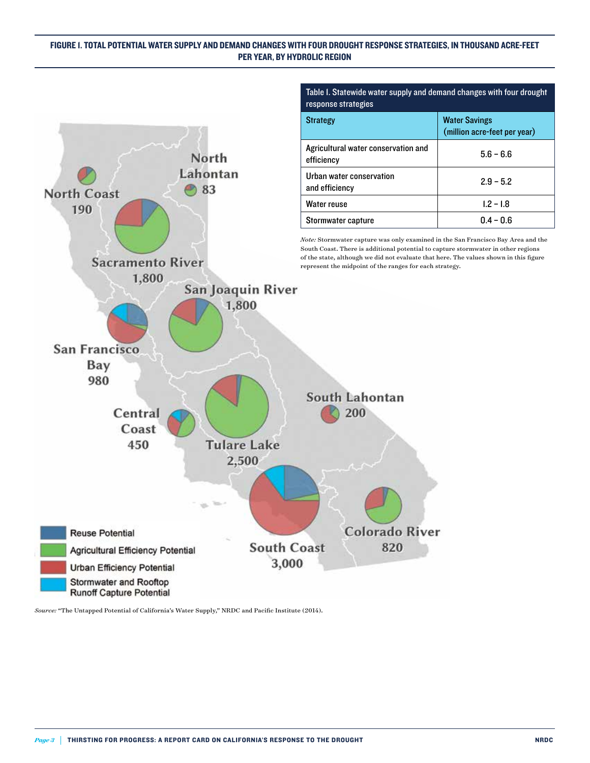#### Figure 1. Total potential water supply and demand changes with four drought response strategies, in thousand acre-feet per year, by hydrolic region



Table 1. Statewide water supply and demand changes with four drought response strategies

|                                                   | THINGH ACTC TCCL DCL VCAL/ |
|---------------------------------------------------|----------------------------|
| Agricultural water conservation and<br>efficiency | $5.6 - 6.6$                |
| Urban water conservation<br>and efficiency        | $2.9 - 5.2$                |
| <b>Water reuse</b>                                | $1.2 - 1.8$                |
| Stormwater capture                                | $0.4 - 0.6$                |

nal potential to capture stormwater in other regions of the state, although we did not evaluate that here. The values shown in this figure represent the midpoint of the ranges for each strategy.

*Source:* "The Untapped Potential of California's Water Supply," NRDC and Pacific Institute (2014).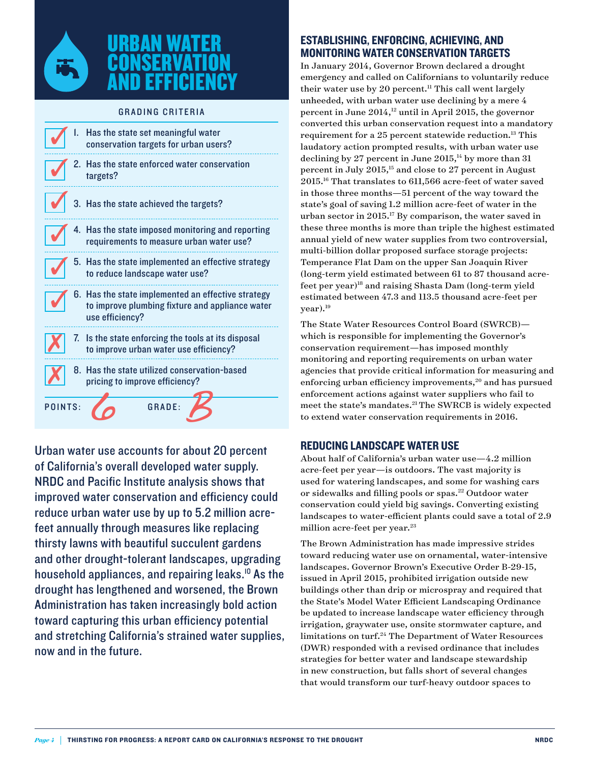

## Urban Water **CONSERVATION** and Efficiency

#### **GRADING CRITERIA**

|                         | I. Has the state set meaningful water<br>conservation targets for urban users?                                           |
|-------------------------|--------------------------------------------------------------------------------------------------------------------------|
|                         | 2. Has the state enforced water conservation<br>targets?                                                                 |
| $\overline{\mathsf{v}}$ | 3. Has the state achieved the targets?                                                                                   |
|                         | 4. Has the state imposed monitoring and reporting<br>requirements to measure urban water use?                            |
|                         | 5. Has the state implemented an effective strategy<br>to reduce landscape water use?                                     |
|                         | 6. Has the state implemented an effective strategy<br>to improve plumbing fixture and appliance water<br>use efficiency? |
|                         | 7. Is the state enforcing the tools at its disposal<br>to improve urban water use efficiency?                            |
|                         | 8. Has the state utilized conservation-based<br>pricing to improve efficiency?                                           |
| POINTS:                 | <b>GRADE:</b>                                                                                                            |

Urban water use accounts for about 20 percent of California's overall developed water supply. [NRDC and Pacific Institute analysis](http://www.nrdc.org/water/ca-water-supply-solutions.asp) shows that improved water conservation and efficiency could reduce urban water use by up to 5.2 million acrefeet annually through measures like replacing thirsty lawns with beautiful succulent gardens and other drought-tolerant landscapes, upgrading household appliances, and repairing leaks.<sup>10</sup> As the drought has lengthened and worsened, the Brown Administration has taken increasingly bold action toward capturing this urban efficiency potential and stretching California's strained water supplies, now and in the future.

#### Establishing, Enforcing, Achieving, and Monitoring Water Conservation Targets

In January 2014, Governor Brown declared a drought emergency and called on Californians to voluntarily reduce their water use by 20 percent.<sup>11</sup> This call went largely unheeded, with urban water use declining by a mere 4 percent in June 2014,<sup>12</sup> until in April 2015, the governor converted this urban conservation request into a mandatory requirement for a 25 percent statewide reduction.<sup>13</sup> This laudatory action prompted results, with urban water use declining by 27 percent in June  $2015<sup>14</sup>$  by more than 31 percent in July 2015,<sup>15</sup> and close to 27 percent in August 2015.16 That translates to 611,566 acre-feet of water saved in those three months—51 percent of the way toward the state's goal of saving 1.2 million acre-feet of water in the urban sector in 2015.17 By comparison, the water saved in these three months is more than triple the highest estimated annual yield of new water supplies from two controversial, multi-billion dollar proposed surface storage projects: Temperance Flat Dam on the upper San Joaquin River (long-term yield estimated between 61 to 87 thousand acrefeet per year)<sup>18</sup> and raising Shasta Dam (long-term yield estimated between 47.3 and 113.5 thousand acre-feet per year).19

The State Water Resources Control Board (SWRCB) which is responsible for implementing the Governor's conservation requirement—has imposed monthly monitoring and reporting requirements on urban water agencies that provide critical information for measuring and enforcing urban efficiency improvements,<sup>20</sup> and has pursued enforcement actions against water suppliers who fail to meet the state's mandates.21 The SWRCB is widely expected to extend water conservation requirements in 2016.

#### Reducing Landscape Water Use

About half of California's urban water use—4.2 million acre-feet per year—is outdoors. The vast majority is used for watering landscapes, and some for washing cars or sidewalks and filling pools or spas.<sup>22</sup> Outdoor water conservation could yield big savings. Converting existing landscapes to water-efficient plants could save a total of 2.9 million acre-feet per year.<sup>23</sup>

The Brown Administration has made impressive strides toward reducing water use on ornamental, water-intensive landscapes. Governor Brown's Executive Order B-29-15, issued in April 2015, prohibited irrigation outside new buildings other than drip or microspray and required that the State's Model Water Efficient Landscaping Ordinance be updated to increase landscape water efficiency through irrigation, graywater use, onsite stormwater capture, and limitations on turf.24 The Department of Water Resources (DWR) responded with a revised ordinance that includes strategies for better water and landscape stewardship in new construction, but falls short of several changes that would transform our turf-heavy outdoor spaces to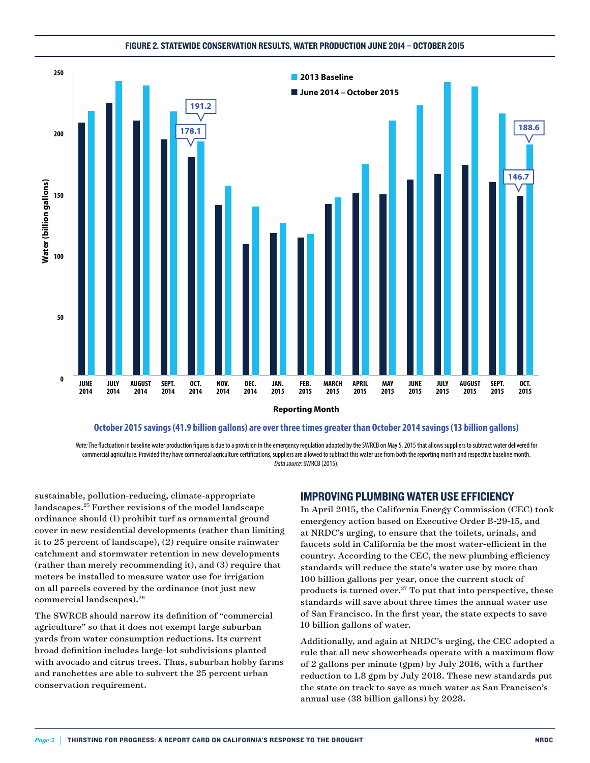#### Figure 2. Statewide conservation results, water production june 2014 – october 2015





Note: The fluctuation in baseline water production fiqures is due to a provision in the emergency regulation adopted by the SWRCB on May 5, 2015 that allows suppliers to subtract water delivered for commercial agriculture. Provided they have commercial agriculture certications, suppliers are allowed to subtract this water use from both the reporting month and respective baseline month. *Data source:* SWRCB (2015).

sustainable, pollution-reducing, climate-appropriate landscapes.25 Further revisions of the model landscape ordinance should (1) prohibit turf as ornamental ground cover in new residential developments (rather than limiting it to 25 percent of landscape), (2) require onsite rainwater catchment and stormwater retention in new developments (rather than merely recommending it), and (3) require that meters be installed to measure water use for irrigation on all parcels covered by the ordinance (not just new commercial landscapes).26

The SWRCB should narrow its definition of "commercial agriculture" so that it does not exempt large suburban yards from water consumption reductions. Its current broad definition includes large-lot subdivisions planted with avocado and citrus trees. Thus, suburban hobby farms and ranchettes are able to subvert the 25 percent urban conservation requirement.

#### Improving Plumbing Water Use Efficiency

In April 2015, the California Energy Commission (CEC) took emergency action based on Executive Order B-29-15, and at NRDC's urging, to ensure that the toilets, urinals, and faucets sold in California be the most water-efficient in the country. According to the CEC, the new plumbing efficiency standards will reduce the state's water use by more than 100 billion gallons per year, once the current stock of products is turned over. $27$  To put that into perspective, these standards will save about three times the annual water use of San Francisco. In the first year, the state expects to save 10 billion gallons of water.

Additionally, and again at NRDC's urging, the CEC adopted a rule that all new showerheads operate with a maximum flow of 2 gallons per minute (gpm) by July 2016, with a further reduction to 1.8 gpm by July 2018. These new standards put the state on track to save as much water as San Francisco's annual use (38 billion gallons) by 2028.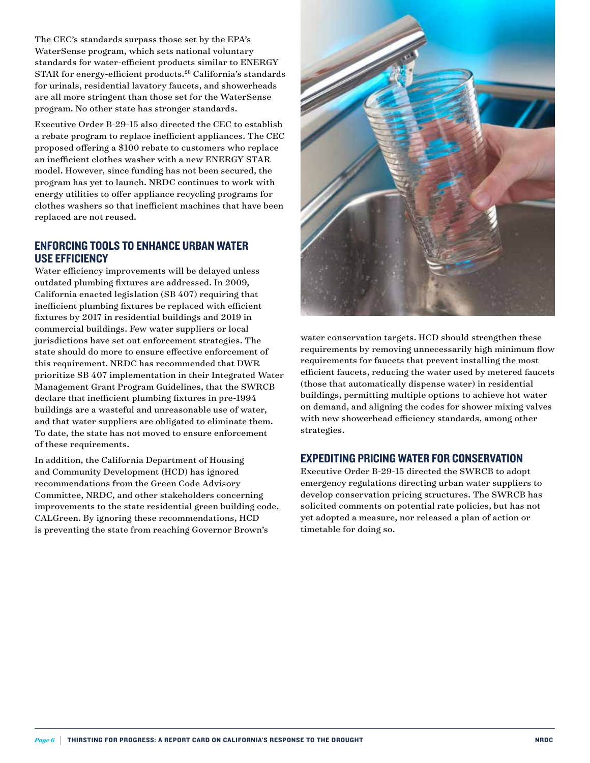The CEC's standards surpass those set by the EPA's WaterSense program, which sets national voluntary standards for water-efficient products similar to ENERGY STAR for energy-efficient products.28 California's standards for urinals, residential lavatory faucets, and showerheads are all more stringent than those set for the WaterSense program. No other state has stronger standards.

Executive Order B-29-15 also directed the CEC to establish a rebate program to replace inefficient appliances. The CEC proposed offering a \$100 rebate to customers who replace an inefficient clothes washer with a new ENERGY STAR model. However, since funding has not been secured, the program has yet to launch. NRDC continues to work with energy utilities to offer appliance recycling programs for clothes washers so that inefficient machines that have been replaced are not reused.

#### Enforcing TOOLS TO ENHANCE Urban Water Use Efficiency

Water efficiency improvements will be delayed unless outdated plumbing fixtures are addressed. In 2009, California enacted legislation (SB 407) requiring that inefficient plumbing fixtures be replaced with efficient fixtures by 2017 in residential buildings and 2019 in commercial buildings. Few water suppliers or local jurisdictions have set out enforcement strategies. The state should do more to ensure effective enforcement of this requirement. NRDC has recommended that DWR prioritize SB 407 implementation in their Integrated Water Management Grant Program Guidelines, that the SWRCB declare that inefficient plumbing fixtures in pre-1994 buildings are a wasteful and unreasonable use of water, and that water suppliers are obligated to eliminate them. To date, the state has not moved to ensure enforcement of these requirements.

In addition, the California Department of Housing and Community Development (HCD) has ignored recommendations from the Green Code Advisory Committee, NRDC, and other stakeholders concerning improvements to the state residential green building code, CALGreen. By ignoring these recommendations, HCD is preventing the state from reaching Governor Brown's



water conservation targets. HCD should strengthen these requirements by removing unnecessarily high minimum flow requirements for faucets that prevent installing the most efficient faucets, reducing the water used by metered faucets (those that automatically dispense water) in residential buildings, permitting multiple options to achieve hot water on demand, and aligning the codes for shower mixing valves with new showerhead efficiency standards, among other strategies.

#### Expediting Pricing Water for Conservation

Executive Order B-29-15 directed the SWRCB to adopt emergency regulations directing urban water suppliers to develop conservation pricing structures. The SWRCB has solicited comments on potential rate policies, but has not yet adopted a measure, nor released a plan of action or timetable for doing so.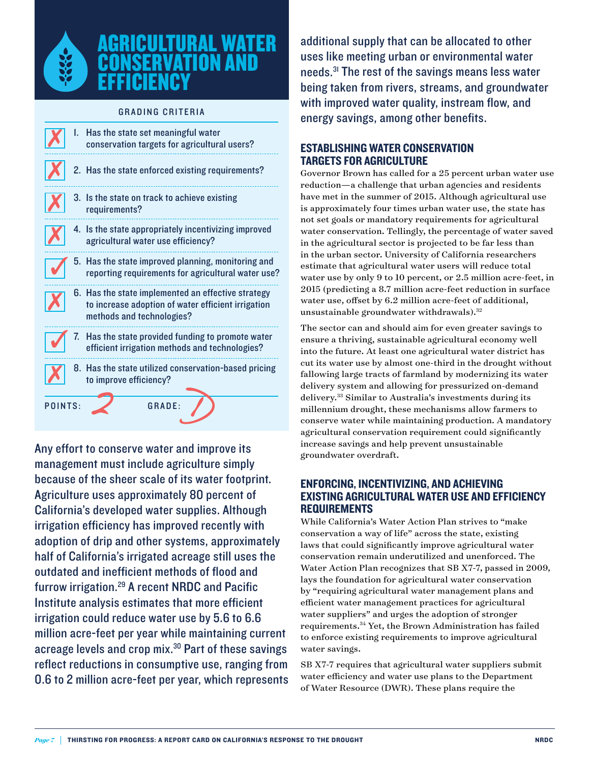

## **AGRICULTURAL WA CONSERVATION A EFFICIENCY**

#### **GRADING CRITERIA**

|         |    | I. Has the state set meaningful water<br>conservation targets for agricultural users?                                                 |
|---------|----|---------------------------------------------------------------------------------------------------------------------------------------|
|         |    | 2. Has the state enforced existing requirements?                                                                                      |
|         |    | 3. Is the state on track to achieve existing<br>requirements?                                                                         |
|         |    | 4. Is the state appropriately incentivizing improved<br>agricultural water use efficiency?                                            |
|         |    | 5. Has the state improved planning, monitoring and<br>reporting requirements for agricultural water use?                              |
|         |    | 6. Has the state implemented an effective strategy<br>to increase adoption of water efficient irrigation<br>methods and technologies? |
|         | 7. | Has the state provided funding to promote water<br>efficient irrigation methods and technologies?                                     |
|         |    | 8. Has the state utilized conservation-based pricing<br>to improve efficiency?                                                        |
| POINTS: |    | GRADE:                                                                                                                                |

Any effort to conserve water and improve its management must include agriculture simply because of the sheer scale of its water footprint. Agriculture uses approximately 80 percent of California's developed water supplies. Although irrigation efficiency has improved recently with adoption of drip and other systems, approximately half of California's irrigated acreage still uses the outdated and inefficient methods of flood and furrow irrigation.29 A recent NRDC and Pacific Institute analysis estimates that more efficient irrigation could reduce water use by 5.6 to 6.6 million acre-feet per year while maintaining current acreage levels and crop mix.30 Part of these savings reflect reductions in consumptive use, ranging from 0.6 to 2 million acre-feet per year, which represents additional supply that can be allocated to other uses like meeting urban or environmental water needs.31 The rest of the savings means less water being taken from rivers, streams, and groundwater with improved water quality, instream flow, and energy savings, among other benefits.

#### Establishing Water Conservation Targets for Agriculture

Governor Brown has called for a 25 percent urban water use reduction—a challenge that urban agencies and residents have met in the summer of 2015. Although agricultural use is approximately four times urban water use, the state has not set goals or mandatory requirements for agricultural water conservation. Tellingly, the percentage of water saved in the agricultural sector is projected to be far less than in the urban sector. University of California researchers estimate that agricultural water users will reduce total water use by only 9 to 10 percent, or 2.5 million acre-feet, in 2015 (predicting a 8.7 million acre-feet reduction in surface water use, offset by 6.2 million acre-feet of additional, unsustainable groundwater withdrawals).<sup>32</sup>

The sector can and should aim for even greater savings to ensure a thriving, sustainable agricultural economy well into the future. At least one agricultural water district has cut its water use by almost one-third in the drought without fallowing large tracts of farmland by modernizing its water delivery system and allowing for pressurized on-demand delivery.<sup>33</sup> Similar to Australia's investments during its millennium drought, these mechanisms allow farmers to conserve water while maintaining production. A mandatory agricultural conservation requirement could significantly increase savings and help prevent unsustainable groundwater overdraft.

#### Enforcing, Incentivizing, and Achieving Existing Agricultural Water Use and Efficiency **REQUIREMENTS**

While California's Water Action Plan strives to "make conservation a way of life" across the state, existing laws that could significantly improve agricultural water conservation remain underutilized and unenforced. The Water Action Plan recognizes that SB X7-7, passed in 2009, lays the foundation for agricultural water conservation by "requiring agricultural water management plans and efficient water management practices for agricultural water suppliers" and urges the adoption of stronger requirements.34 Yet, the Brown Administration has failed to enforce existing requirements to improve agricultural water savings.

SB X7-7 requires that agricultural water suppliers submit water efficiency and water use plans to the Department of Water Resource (DWR). These plans require the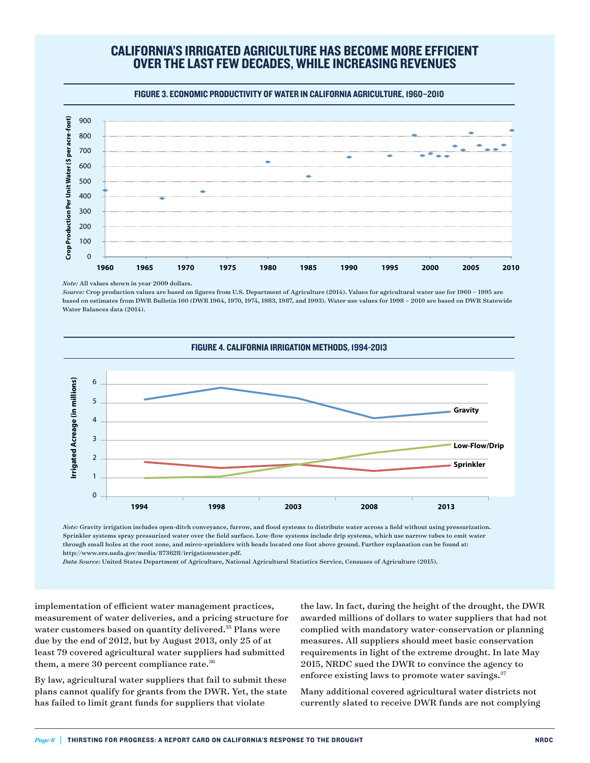# California's irrigated agriculture has become more efficient over the last few decades, while increasing revenues

Figure 3. Economic productivity of water in California agriculture, 1960–2010



*Note:* All values shown in year 2009 dollars.

*Source:* Crop production values are based on figures from U.S. Department of Agriculture (2014). Values for agricultural water use for 1960 – 1995 are based on estimates from DWR Bulletin 160 (DWR 1964, 1970, 1974, 1983, 1987, and 1993). Water use values for 1998 – 2010 are based on DWR Statewide Water Balances data (2014).



*Note:* Gravity irrigation includes open-ditch conveyance, furrow, and flood systems to distribute water across a field without using pressurization. Sprinkler systems spray pressurized water over the field surface. Low-flow systems include drip systems, which use narrow tubes to emit water through small holes at the root zone, and mirco-sprinklers with heads located one foot above ground. Further explanation can be found at: http://www.ers.usda.gov/media/873628/irrigationwater.pdf.

*Data Source:* United States Department of Agriculture, National Agricultural Statistics Service, Censuses of Agriculture (2015).

implementation of efficient water management practices, measurement of water deliveries, and a pricing structure for water customers based on quantity delivered.<sup>35</sup> Plans were due by the end of 2012, but by August 2013, only 25 of at least 79 covered agricultural water suppliers had submitted them, a mere 30 percent compliance rate.<sup>36</sup>

By law, agricultural water suppliers that fail to submit these plans cannot qualify for grants from the DWR. Yet, the state has failed to limit grant funds for suppliers that violate

the law. In fact, during the height of the drought, the DWR awarded millions of dollars to water suppliers that had not complied with mandatory water-conservation or planning measures. All suppliers should meet basic conservation requirements in light of the extreme drought. In late May 2015, NRDC sued the DWR to convince the agency to enforce existing laws to promote water savings.<sup>37</sup>

Many additional covered agricultural water districts not currently slated to receive DWR funds are not complying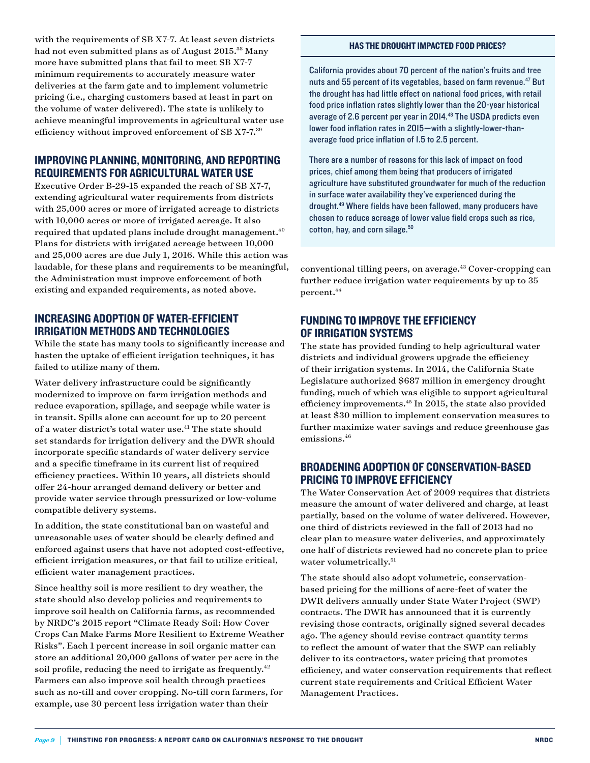with the requirements of SB X7-7. At least seven districts had not even submitted plans as of August 2015.<sup>38</sup> Many more have submitted plans that fail to meet SB X7-7 minimum requirements to accurately measure water deliveries at the farm gate and to implement volumetric pricing (i.e., charging customers based at least in part on the volume of water delivered). The state is unlikely to achieve meaningful improvements in agricultural water use efficiency without improved enforcement of SB X7-7.39

#### Improving Planning, Monitoring, and Reporting Requirements for Agricultural Water Use

Executive Order B-29-15 expanded the reach of SB X7-7, extending agricultural water requirements from districts with 25,000 acres or more of irrigated acreage to districts with 10,000 acres or more of irrigated acreage. It also required that updated plans include drought management.<sup>40</sup> Plans for districts with irrigated acreage between 10,000 and 25,000 acres are due July 1, 2016. While this action was laudable, for these plans and requirements to be meaningful, the Administration must improve enforcement of both existing and expanded requirements, as noted above.

#### Increasing Adoption of Water-Efficient Irrigation Methods and Technologies

While the state has many tools to significantly increase and hasten the uptake of efficient irrigation techniques, it has failed to utilize many of them.

Water delivery infrastructure could be significantly modernized to improve on-farm irrigation methods and reduce evaporation, spillage, and seepage while water is in transit. Spills alone can account for up to 20 percent of a water district's total water use.41 The state should set standards for irrigation delivery and the DWR should incorporate specific standards of water delivery service and a specific timeframe in its current list of required efficiency practices. Within 10 years, all districts should offer 24-hour arranged demand delivery or better and provide water service through pressurized or low-volume compatible delivery systems.

In addition, the state constitutional ban on wasteful and unreasonable uses of water should be clearly defined and enforced against users that have not adopted cost-effective, efficient irrigation measures, or that fail to utilize critical, efficient water management practices.

Since healthy soil is more resilient to dry weather, the state should also develop policies and requirements to improve soil health on California farms, as recommended by NRDC's 2015 report ["Climate Ready Soil: How Cover](www.nrdc.org/water/climate-ready-soil.asp)  [Crops Can Make Farms More Resilient to Extreme Weather](www.nrdc.org/water/climate-ready-soil.asp)  [Risks](www.nrdc.org/water/climate-ready-soil.asp)". Each 1 percent increase in soil organic matter can store an additional 20,000 gallons of water per acre in the soil profile, reducing the need to irrigate as frequently.<sup>42</sup> Farmers can also improve soil health through practices such as no-till and cover cropping. No-till corn farmers, for example, use 30 percent less irrigation water than their

#### Has the Drought Impacted Food Prices?

California provides about 70 percent of the nation's fruits and tree nuts and 55 percent of its vegetables, based on farm revenue.<sup>47</sup> But the drought has had little effect on national food prices, with retail food price inflation rates slightly lower than the 20-year historical average of 2.6 percent per year in 2014.48 The USDA predicts even lower food inflation rates in 2015—with a slightly-lower-thanaverage food price inflation of 1.5 to 2.5 percent.

There are a number of reasons for this lack of impact on food prices, chief among them being that producers of irrigated agriculture have substituted groundwater for much of the reduction in surface water availability they've experienced during the drought.49 Where fields have been fallowed, many producers have chosen to reduce acreage of lower value field crops such as rice, cotton, hay, and corn silage.<sup>50</sup>

conventional tilling peers, on average.<sup>43</sup> Cover-cropping can further reduce irrigation water requirements by up to 35 percent.<sup>44</sup>

#### Funding to Improve the Efficiency of Irrigation Systems

The state has provided funding to help agricultural water districts and individual growers upgrade the efficiency of their irrigation systems. In 2014, the California State Legislature authorized \$687 million in emergency drought funding, much of which was eligible to support agricultural efficiency improvements.45 In 2015, the state also provided at least \$30 million to implement conservation measures to further maximize water savings and reduce greenhouse gas emissions.<sup>46</sup>

#### Broadening Adoption of Conservation-based Pricing to Improve Efficiency

The Water Conservation Act of 2009 requires that districts measure the amount of water delivered and charge, at least partially, based on the volume of water delivered. However, one third of districts reviewed in the fall of 2013 had no clear plan to measure water deliveries, and approximately one half of districts reviewed had no concrete plan to price water volumetrically.<sup>51</sup>

The state should also adopt volumetric, conservationbased pricing for the millions of acre-feet of water the DWR delivers annually under State Water Project (SWP) contracts. The DWR has announced that it is currently revising those contracts, originally signed several decades ago. The agency should revise contract quantity terms to reflect the amount of water that the SWP can reliably deliver to its contractors, water pricing that promotes efficiency, and water conservation requirements that reflect current state requirements and Critical Efficient Water Manageme[nt Practices.](http://www.takepart.com/sites/default/files/crop water useLARGE.jpg)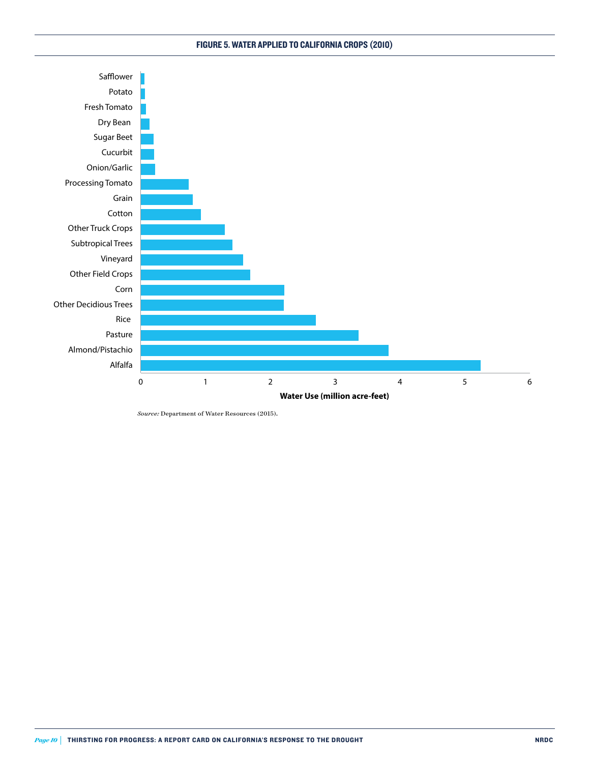#### Figure 5. Water Applied to California Crops (2010)



*Source:* Department of Water Resources (2015).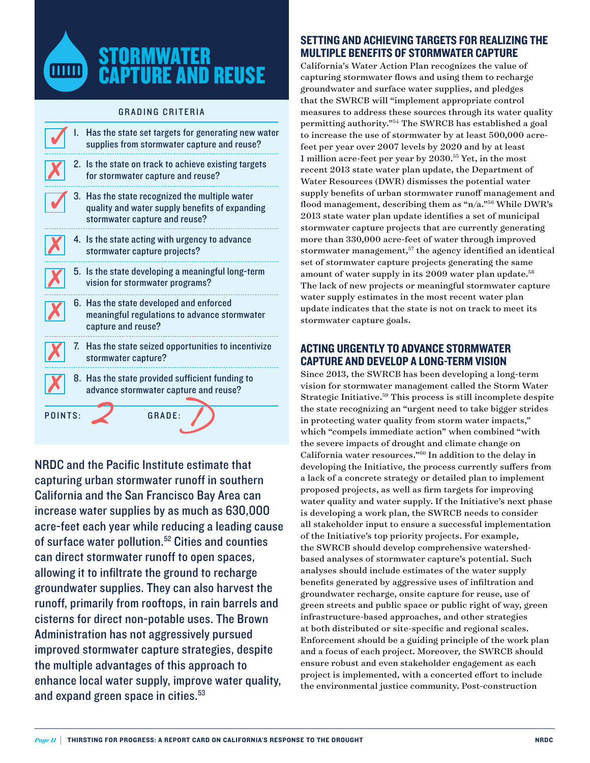

#### **GRADING CRITERIA**

|         | Has the state set targets for generating new water<br>supplies from stormwater capture and reuse?                                 |
|---------|-----------------------------------------------------------------------------------------------------------------------------------|
|         | 2. Is the state on track to achieve existing targets<br>for stormwater capture and reuse?                                         |
|         | 3. Has the state recognized the multiple water<br>quality and water supply benefits of expanding<br>stormwater capture and reuse? |
|         | 4. Is the state acting with urgency to advance<br>stormwater capture projects?                                                    |
|         | 5. Is the state developing a meaningful long-term<br>vision for stormwater programs?                                              |
|         | 6. Has the state developed and enforced<br>meaningful regulations to advance stormwater<br>capture and reuse?                     |
|         | 7. Has the state seized opportunities to incentivize<br>stormwater capture?                                                       |
|         | 8. Has the state provided sufficient funding to<br>advance stormwater capture and reuse?                                          |
| POINTS: | <b>GRADE:</b>                                                                                                                     |

NRDC and the Pacific Institute estimate that capturing urban stormwater runoff in southern California and the San Francisco Bay Area can increase water supplies by as much as 630,000 acre-feet each year while reducing a leading cause of surface water pollution.<sup>52</sup> Cities and counties can direct stormwater runoff to open spaces, allowing it to infiltrate the ground to recharge groundwater supplies. They can also harvest the runoff, primarily from rooftops, in rain barrels and cisterns for direct non-potable uses. The Brown Administration has not aggressively pursued improved stormwater capture strategies, despite the multiple advantages of this approach to enhance local water supply, improve water quality, and expand green space in cities.<sup>53</sup>

#### Setting and Achieving Targets for Realizing the Multiple Benefits of Stormwater Capture

California's Water Action Plan recognizes the value of capturing stormwater flows and using them to recharge groundwater and surface water supplies, and pledges that the SWRCB will "implement appropriate control measures to address these sources through its water quality permitting authority."54 The SWRCB has established a goal to increase the use of stormwater by at least 500,000 acrefeet per year over 2007 levels by 2020 and by at least 1 million acre-feet per year by 2030.55 Yet, in the most recent 2013 state water plan update, the Department of Water Resources (DWR) dismisses the potential water supply benefits of urban stormwater runoff management and flood management, describing them as "n/a."56 While DWR's 2013 state water plan update identifies a set of municipal stormwater capture projects that are currently generating more than 330,000 acre-feet of water through improved stormwater management,<sup>57</sup> the agency identified an identical set of stormwater capture projects generating the same amount of water supply in its 2009 water plan update.<sup>58</sup> The lack of new projects or meaningful stormwater capture water supply estimates in the most recent water plan update indicates that the state is not on track to meet its stormwater capture goals.

#### Acting Urgently to Advance Stormwater Capture and Develop a Long-Term Vision

Since 2013, the SWRCB has been developing a long-term vision for stormwater management called the Storm Water Strategic Initiative.59 This process is still incomplete despite the state recognizing an "urgent need to take bigger strides in protecting water quality from storm water impacts," which "compels immediate action" when combined "with the severe impacts of drought and climate change on California water resources."60 In addition to the delay in developing the Initiative, the process currently suffers from a lack of a concrete strategy or detailed plan to implement proposed projects, as well as firm targets for improving water quality and water supply. If the Initiative's next phase is developing a work plan, the SWRCB needs to consider all stakeholder input to ensure a successful implementation of the Initiative's top priority projects. For example, the SWRCB should develop comprehensive watershedbased analyses of stormwater capture's potential. Such analyses should include estimates of the water supply benefits generated by aggressive uses of infiltration and groundwater recharge, onsite capture for reuse, use of green streets and public space or public right of way, green infrastructure-based approaches, and other strategies at both distributed or site-specific and regional scales. Enforcement should be a guiding principle of the work plan and a focus of each project. Moreover, the SWRCB should ensure robust and even stakeholder engagement as each project is implemented, with a concerted effort to include the environmental justice community. Post-construction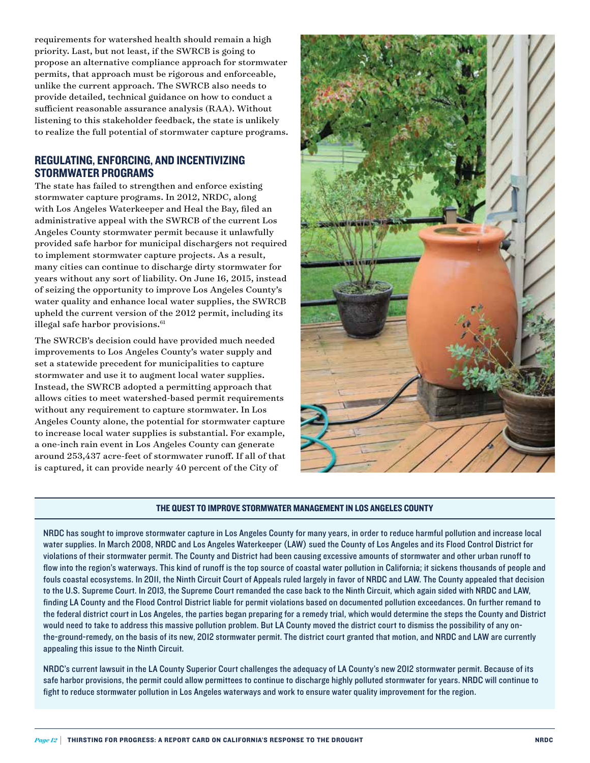requirements for watershed health should remain a high priority. Last, but not least, if the SWRCB is going to propose an alternative compliance approach for stormwater permits, that approach must be rigorous and enforceable, unlike the current approach. The SWRCB also needs to provide detailed, technical guidance on how to conduct a sufficient reasonable assurance analysis (RAA). Without listening to this stakeholder feedback, the state is unlikely to realize the full potential of stormwater capture programs.

#### Regulating, Enforcing, and Incentivizing STORMWATER PROGRAMS

The state has failed to strengthen and enforce existing stormwater capture programs. In 2012, NRDC, along with Los Angeles Waterkeeper and Heal the Bay, filed an administrative appeal with the SWRCB of the current Los Angeles County stormwater permit because it unlawfully provided safe harbor for municipal dischargers not required to implement stormwater capture projects. As a result, many cities can continue to discharge dirty stormwater for years without any sort of liability. On June 16, 2015, instead of seizing the opportunity to improve Los Angeles County's water quality and enhance local water supplies, the SWRCB upheld the current version of the 2012 permit, including its illegal safe harbor provisions.<sup>61</sup>

The SWRCB's decision could have provided much needed improvements to Los Angeles County's water supply and set a statewide precedent for municipalities to capture stormwater and use it to augment local water supplies. Instead, the SWRCB adopted a permitting approach that allows cities to meet watershed-based permit requirements without any requirement to capture stormwater. In Los Angeles County alone, the potential for stormwater capture to increase local water supplies is substantial. For example, a one-inch rain event in Los Angeles County can generate around 253,437 acre-feet of stormwater runoff. If all of that is captured, it can provide nearly 40 percent of the City of



#### The Quest to Improve Stormwater Management in Los Angeles County

NRDC has sought to improve stormwater capture in Los Angeles County for many years, in order to reduce harmful pollution and increase local water supplies. In March 2008, NRDC and Los Angeles Waterkeeper (LAW) sued the County of Los Angeles and its Flood Control District for violations of their stormwater permit. The County and District had been causing excessive amounts of stormwater and other urban runoff to flow into the region's waterways. This kind of runoff is the top source of coastal water pollution in California; it sickens thousands of people and fouls coastal ecosystems. In 2011, the Ninth Circuit Court of Appeals ruled largely in favor of NRDC and LAW. The County appealed that decision to the U.S. Supreme Court. In 2013, the Supreme Court remanded the case back to the Ninth Circuit, which again sided with NRDC and LAW, finding LA County and the Flood Control District liable for permit violations based on documented pollution exceedances. On further remand to the federal district court in Los Angeles, the parties began preparing for a remedy trial, which would determine the steps the County and District would need to take to address this massive pollution problem. But LA County moved the district court to dismiss the possibility of any onthe-ground-remedy, on the basis of its new, 2012 stormwater permit. The district court granted that motion, and NRDC and LAW are currently appealing this issue to the Ninth Circuit.

NRDC's current lawsuit in the LA County Superior Court challenges the adequacy of LA County's new 2012 stormwater permit. Because of its safe harbor provisions, the permit could allow permittees to continue to discharge highly polluted stormwater for years. NRDC will continue to fight to reduce stormwater pollution in Los Angeles waterways and work to ensure water quality improvement for the region.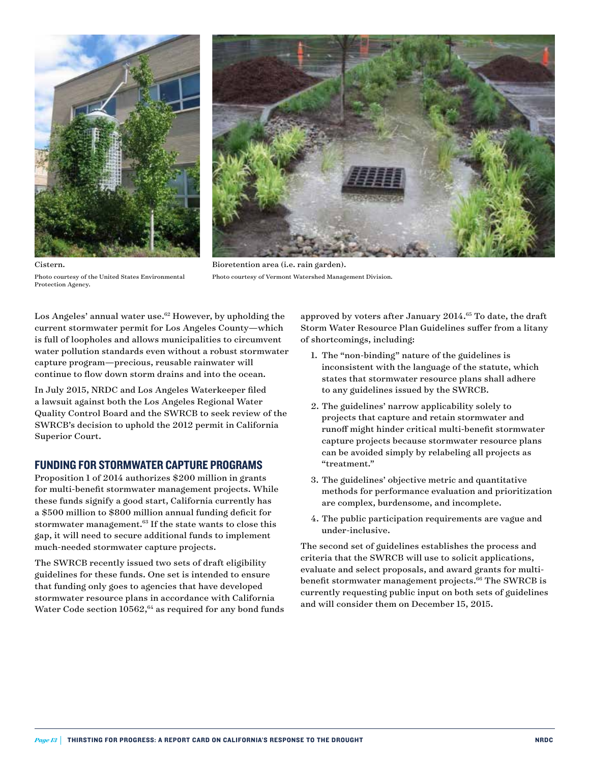



Photo courtesy of the United States Environmental Protection Agency.

Cistern.

Bioretention area (i.e. rain garden). Photo courtesy of Vermont Watershed Management Division.

Los Angeles' annual water use.<sup>62</sup> However, by upholding the current stormwater permit for Los Angeles County—which is full of loopholes and allows municipalities to circumvent water pollution standards even without a robust stormwater capture program—precious, reusable rainwater will continue to flow down storm drains and into the ocean.

In July 2015, NRDC and Los Angeles Waterkeeper filed a lawsuit against both the Los Angeles Regional Water Quality Control Board and the SWRCB to seek review of the SWRCB's decision to uphold the 2012 permit in California Superior Court.

#### Funding for Stormwater Capture Programs

Proposition 1 of 2014 authorizes \$200 million in grants for multi-benefit stormwater management projects. While these funds signify a good start, California currently has a \$500 million to \$800 million annual funding deficit for stormwater management.<sup>63</sup> If the state wants to close this gap, it will need to secure additional funds to implement much-needed stormwater capture projects.

The SWRCB recently issued two sets of draft eligibility guidelines for these funds. One set is intended to ensure that funding only goes to agencies that have developed stormwater resource plans in accordance with California Water Code section  $10562$ ,<sup>64</sup> as required for any bond funds approved by voters after January 2014.<sup>65</sup> To date, the draft Storm Water Resource Plan Guidelines suffer from a litany of shortcomings, including:

- 1. The "non-binding" nature of the guidelines is inconsistent with the language of the statute, which states that stormwater resource plans shall adhere to any guidelines issued by the SWRCB.
- 2. The guidelines' narrow applicability solely to projects that capture and retain stormwater and runoff might hinder critical multi-benefit stormwater capture projects because stormwater resource plans can be avoided simply by relabeling all projects as "treatment."
- 3. The guidelines' objective metric and quantitative methods for performance evaluation and prioritization are complex, burdensome, and incomplete.
- 4. The public participation requirements are vague and under-inclusive.

The second set of guidelines establishes the process and criteria that the SWRCB will use to solicit applications, evaluate and select proposals, and award grants for multibenefit stormwater management projects.<sup>66</sup> The SWRCB is currently requesting public input on both sets of guidelines and will consider them on December 15, 2015.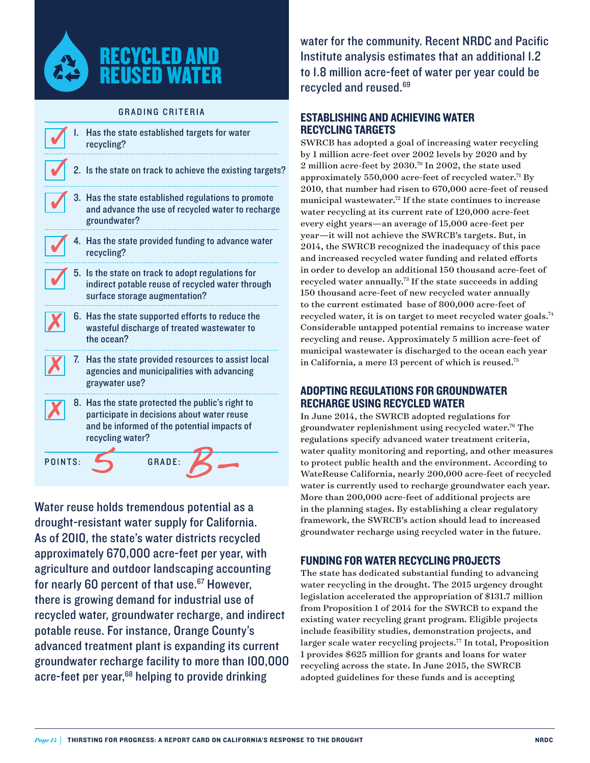

#### **GRADING CRITERIA**

|         |    | Has the state established targets for water<br>recycling?                                                                                                         |
|---------|----|-------------------------------------------------------------------------------------------------------------------------------------------------------------------|
|         |    | 2. Is the state on track to achieve the existing targets?                                                                                                         |
|         |    | Has the state established regulations to promote<br>and advance the use of recycled water to recharge<br>groundwater?                                             |
|         |    | Has the state provided funding to advance water<br>recycling?                                                                                                     |
|         |    | 5. Is the state on track to adopt regulations for<br>indirect potable reuse of recycled water through<br>surface storage augmentation?                            |
|         |    | 6. Has the state supported efforts to reduce the<br>wasteful discharge of treated wastewater to<br>the ocean?                                                     |
|         | 7. | Has the state provided resources to assist local<br>agencies and municipalities with advancing<br>graywater use?                                                  |
|         |    | 8. Has the state protected the public's right to<br>participate in decisions about water reuse<br>and be informed of the potential impacts of<br>recycling water? |
| POINTS: |    | GRADE:                                                                                                                                                            |

Water reuse holds tremendous potential as a drought-resistant water supply for California. As of 2010, the state's water districts recycled approximately 670,000 acre-feet per year, with agriculture and outdoor landscaping accounting for nearly 60 percent of that use.<sup>67</sup> However, there is growing demand for industrial use of recycled water, groundwater recharge, and indirect potable reuse. For instance, Orange County's advanced treatment plant is expanding its current groundwater recharge facility to more than 100,000 acre-feet per year,<sup>68</sup> helping to provide drinking

water for the community. Recent [NRDC and Pacific](http://www.nrdc.org/water/ca-water-supply-solutions.asp) [Institute analysis](http://www.nrdc.org/water/ca-water-supply-solutions.asp) estimates that an additional 1.2 to 1.8 million acre-feet of water per year could be recycled and reused.69

#### Establishing and Achieving Water Recycling Targets

SWRCB has adopted a goal of increasing water recycling by 1 million acre-feet over 2002 levels by 2020 and by 2 million acre-feet by 2030.70 In 2002, the state used approximately  $550,000$  acre-feet of recycled water.<sup>71</sup> By 2010, that number had risen to 670,000 acre-feet of reused municipal wastewater.72 If the state continues to increase water recycling at its current rate of 120,000 acre-feet every eight years—an average of 15,000 acre-feet per year—it will not achieve the SWRCB's targets. But, in 2014, the SWRCB recognized the inadequacy of this pace and increased recycled water funding and related efforts in order to develop an additional 150 thousand acre-feet of recycled water annually.73 If the state succeeds in adding 150 thousand acre-feet of new recycled water annually to the current estimated base of 800,000 acre-feet of recycled water, it is on target to meet recycled water goals.74 Considerable untapped potential remains to increase water recycling and reuse. Approximately 5 million acre-feet of municipal wastewater is discharged to the ocean each year in California, a mere 13 percent of which is reused.75

#### Adopting Regulations for Groundwater Recharge Using Recycled Water

In June 2014, the SWRCB adopted regulations for groundwater replenishment using recycled water.76 The regulations specify advanced water treatment criteria, water quality monitoring and reporting, and other measures to protect public health and the environment. According to WateReuse California, nearly 200,000 acre-feet of recycled water is currently used to recharge groundwater each year. More than 200,000 acre-feet of additional projects are in the planning stages. By establishing a clear regulatory framework, the SWRCB's action should lead to increased groundwater recharge using recycled water in the future.

#### Funding for Water Recycling Projects

The state has dedicated substantial funding to advancing water recycling in the drought. The 2015 urgency drought legislation accelerated the appropriation of \$131.7 million from Proposition 1 of 2014 for the SWRCB to expand the existing water recycling grant program. Eligible projects include feasibility studies, demonstration projects, and larger scale water recycling projects.<sup>77</sup> In total, Proposition 1 provides \$625 million for grants and loans for water recycling across the state. In June 2015, the SWRCB adopted guidelines for these funds and is accepting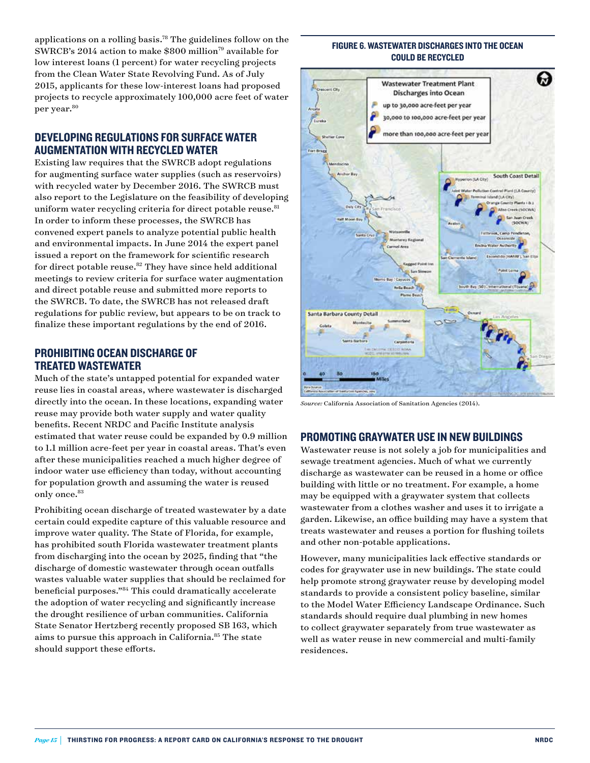applications on a rolling basis.<sup>78</sup> The guidelines follow on the SWRCB's 2014 action to make \$800 million<sup>79</sup> available for low interest loans (1 percent) for water recycling projects from the Clean Water State Revolving Fund. As of July 2015, applicants for these low-interest loans had proposed projects to recycle approximately 100,000 acre feet of water per year.<sup>80</sup>

#### Developing Regulations for Surface Water Augmentation with Recycled Water

Existing law requires that the SWRCB adopt regulations for augmenting surface water supplies (such as reservoirs) with recycled water by December 2016. The SWRCB must also report to the Legislature on the feasibility of developing uniform water recycling criteria for direct potable reuse.<sup>81</sup> In order to inform these processes, the SWRCB has convened expert panels to analyze potential public health and environmental impacts. In June 2014 the expert panel issued a report on the framework for scientific research for direct potable reuse. $82$  They have since held additional meetings to review criteria for surface water augmentation and direct potable reuse and submitted more reports to the SWRCB. To date, the SWRCB has not released draft regulations for public review, but appears to be on track to finalize these important regulations by the end of 2016.

# Prohibiting Ocean Discharge of Treated Wastewater

Much of the state's untapped potential for expanded water reuse lies in coastal areas, where wastewater is discharged directly into the ocean. In these locations, expanding water reuse may provide both water supply and water quality benefits. Recent NRDC and Pacific Institute analysis estimated that water reuse could be expanded by 0.9 million to 1.1 million acre-feet per year in coastal areas. That's even after these municipalities reached a much higher degree of indoor water use efficiency than today, without accounting for population growth and assuming the water is reused only once.<sup>83</sup>

Prohibiting ocean discharge of treated wastewater by a date certain could expedite capture of this valuable resource and improve water quality. The State of Florida, for example, has prohibited south Florida wastewater treatment plants from discharging into the ocean by 2025, finding that "the discharge of domestic wastewater through ocean outfalls wastes valuable water supplies that should be reclaimed for beneficial purposes."84 This could dramatically accelerate the adoption of water recycling and significantly increase the drought resilience of urban communities. California State Senator Hertzberg recently proposed SB 163, which aims to pursue this approach in California.85 The state should support these efforts.

#### figure 6. Wastewater Discharges into the Ocean Could be Recycled



*Source:* California Association of Sanitation Agencies (2014).

#### Promoting Graywater Use in New Buildings

Wastewater reuse is not solely a job for municipalities and sewage treatment agencies. Much of what we currently discharge as wastewater can be reused in a home or office building with little or no treatment. For example, a home may be equipped with a graywater system that collects wastewater from a clothes washer and uses it to irrigate a garden. Likewise, an office building may have a system that treats wastewater and reuses a portion for flushing toilets and other non-potable applications.

However, many municipalities lack effective standards or codes for graywater use in new buildings. The state could help promote strong graywater reuse by developing model standards to provide a consistent policy baseline, similar to the Model Water Efficiency Landscape Ordinance. Such standards should require dual plumbing in new homes to collect graywater separately from true wastewater as well as water reuse in new commercial and multi-family residences.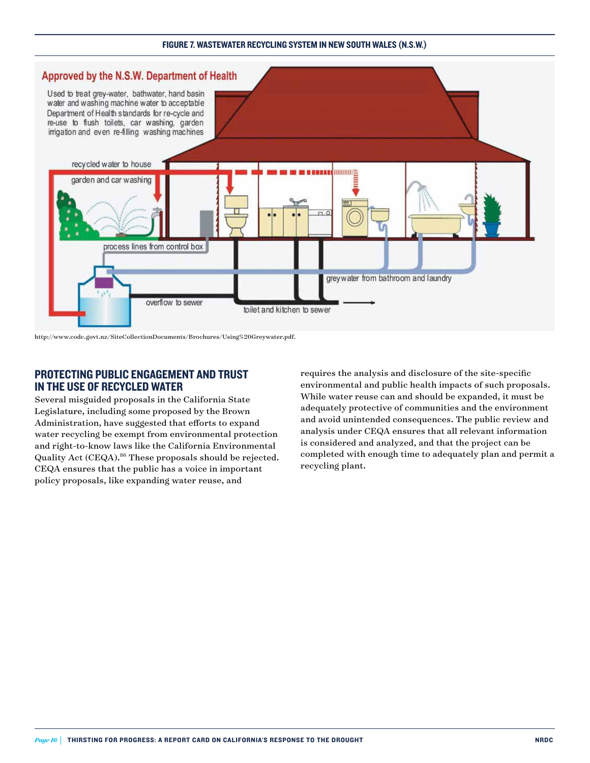#### figure 7. Wastewater Recycling System in New South Wales (N.S.W.)



http://www.codc.govt.nz/SiteCollectionDocuments/Brochures/Using%20Greywater.pdf.

#### Protecting Public Engagement and Trust in the Use of Recycled Water

Several misguided proposals in the California State Legislature, including some proposed by the Brown Administration, have suggested that efforts to expand water recycling be exempt from environmental protection and right-to-know laws like the California Environmental Quality Act (CEQA).86 These proposals should be rejected. CEQA ensures that the public has a voice in important policy proposals, like expanding water reuse, and

requires the analysis and disclosure of the site-specific environmental and public health impacts of such proposals. While water reuse can and should be expanded, it must be adequately protective of communities and the environment and avoid unintended consequences. The public review and analysis under CEQA ensures that all relevant information is considered and analyzed, and that the project can be completed with enough time to adequately plan and permit a recycling plant.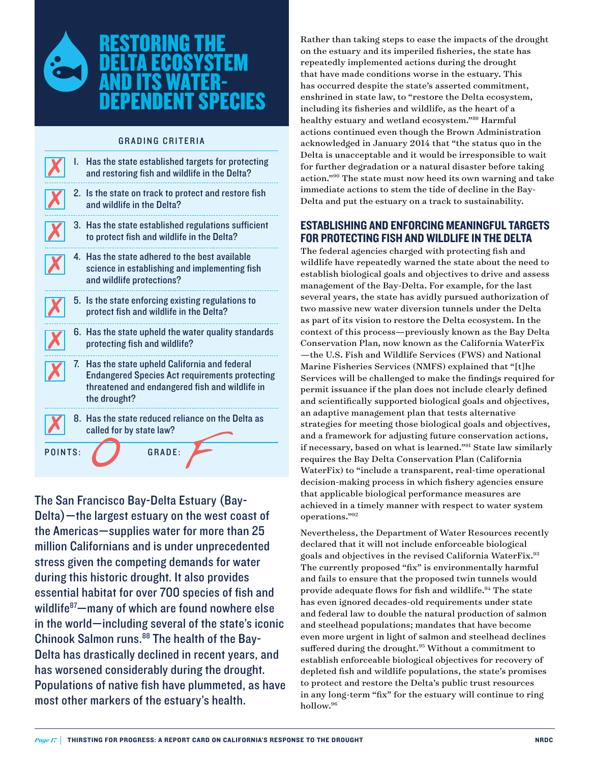

#### **GRADING CRITERIA**

|         | I. | Has the state established targets for protecting<br>and restoring fish and wildlife in the Delta?                                                                         |
|---------|----|---------------------------------------------------------------------------------------------------------------------------------------------------------------------------|
|         |    | 2. Is the state on track to protect and restore fish<br>and wildlife in the Delta?                                                                                        |
|         |    | 3. Has the state established regulations sufficient<br>to protect fish and wildlife in the Delta?                                                                         |
|         |    | 4. Has the state adhered to the best available<br>science in establishing and implementing fish<br>and wildlife protections?                                              |
|         |    | 5. Is the state enforcing existing regulations to<br>protect fish and wildlife in the Delta?                                                                              |
|         |    | 6. Has the state upheld the water quality standards<br>protecting fish and wildlife?                                                                                      |
|         |    | 7. Has the state upheld California and federal<br><b>Endangered Species Act requirements protecting</b><br>threatened and endangered fish and wildlife in<br>the drought? |
|         |    | 8. Has the state reduced reliance on the Delta as<br>called for by state law?                                                                                             |
| POINTS: |    | <b>GRADE:</b>                                                                                                                                                             |

The San Francisco Bay-Delta Estuary (Bay-Delta)—the largest estuary on the west coast of the Americas—supplies water for more than 25 million Californians and is under unprecedented stress given the competing demands for water during this historic drought. It also provides essential habitat for over 700 species of fish and wildlife<sup>87</sup>—many of which are found nowhere else in the world—including several of the state's iconic Chinook Salmon runs.<sup>88</sup> The health of the Bay-Delta has drastically declined in recent years, and has worsened considerably during the drought. Populations of native fish have plummeted, as have most other markers of the estuary's health.

Rather than taking steps to ease the impacts of the drought on the estuary and its imperiled fisheries, the state has repeatedly implemented actions during the drought that have made conditions worse in the estuary. This has occurred despite the state's asserted commitment, enshrined in state law, to "restore the Delta ecosystem, including its fisheries and wildlife, as the heart of a healthy estuary and wetland ecosystem."89 Harmful actions continued even though the Brown Administration acknowledged in January 2014 that "the status quo in the Delta is unacceptable and it would be irresponsible to wait for further degradation or a natural disaster before taking action."90 The state must now heed its own warning and take immediate actions to stem the tide of decline in the Bay-Delta and put the estuary on a track to sustainability.

#### Establishing and enforcing meaningful targets for protecting fish and wildlife in the Delta

The federal agencies charged with protecting fish and wildlife have repeatedly warned the state about the need to establish biological goals and objectives to drive and assess management of the Bay-Delta. For example, for the last several years, the state has avidly pursued authorization of two massive new water diversion tunnels under the Delta as part of its vision to restore the Delta ecosystem. In the context of this process—previously known as the Bay Delta Conservation Plan, now known as the California WaterFix —the U.S. Fish and Wildlife Services (FWS) and National Marine Fisheries Services (NMFS) explained that "[t]he Services will be challenged to make the findings required for permit issuance if the plan does not include clearly defined and scientifically supported biological goals and objectives, an adaptive management plan that tests alternative strategies for meeting those biological goals and objectives, and a framework for adjusting future conservation actions, if necessary, based on what is learned."91 State law similarly requires the Bay Delta Conservation Plan (California WaterFix) to "include a transparent, real-time operational decision-making process in which fishery agencies ensure that applicable biological performance measures are achieved in a timely manner with respect to water system operations."92

Nevertheless, the Department of Water Resources recently declared that it will not include enforceable biological goals and objectives in the revised California WaterFix.<sup>93</sup> The currently proposed "fix" is environmentally harmful and fails to ensure that the proposed twin tunnels would provide adequate flows for fish and wildlife.<sup>94</sup> The state has even ignored decades-old requirements under state and federal law to double the natural production of salmon and steelhead populations; mandates that have become even more urgent in light of salmon and steelhead declines suffered during the drought.<sup>95</sup> Without a commitment to establish enforceable biological objectives for recovery of depleted fish and wildlife populations, the state's promises to protect and restore the Delta's public trust resources in any long-term "fix" for the estuary will continue to ring hollow.96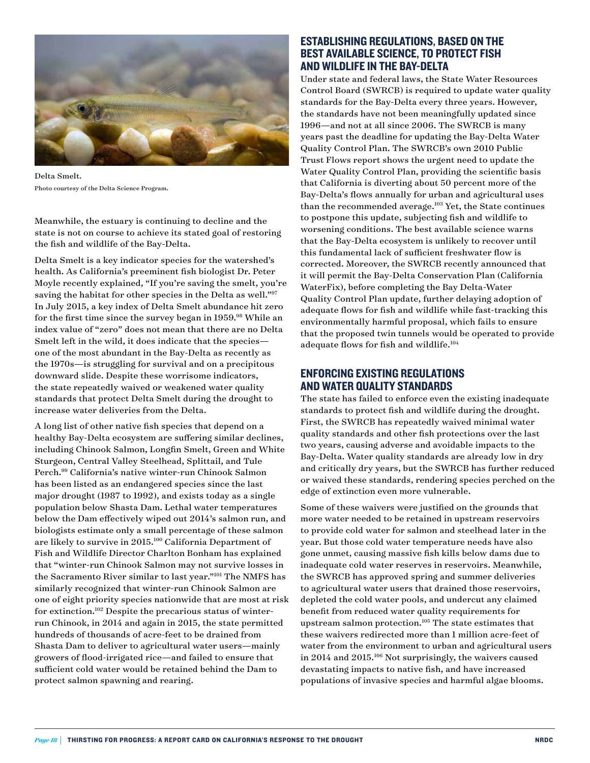

Delta Smelt. Photo courtesy of the Delta Science Program.

Meanwhile, the estuary is continuing to decline and the state is not on course to achieve its stated goal of restoring the fish and wildlife of the Bay-Delta.

Delta Smelt is a key indicator species for the watershed's health. As California's preeminent fish biologist Dr. Peter Moyle recently explained, "If you're saving the smelt, you're saving the habitat for other species in the Delta as well."<sup>97</sup> In July 2015, a key index of Delta Smelt abundance hit zero for the first time since the survey began in 1959.<sup>98</sup> While an index value of "zero" does not mean that there are no Delta Smelt left in the wild, it does indicate that the species one of the most abundant in the Bay-Delta as recently as the 1970s—is struggling for survival and on a precipitous downward slide. Despite these worrisome indicators, the state repeatedly waived or weakened water quality standards that protect Delta Smelt during the drought to increase water deliveries from the Delta.

A long list of other native fish species that depend on a healthy Bay-Delta ecosystem are suffering similar declines, including Chinook Salmon, Longfin Smelt, Green and White Sturgeon, Central Valley Steelhead, Splittail, and Tule Perch.99 California's native winter-run Chinook Salmon has been listed as an endangered species since the last major drought (1987 to 1992), and exists today as a single population below Shasta Dam. Lethal water temperatures below the Dam effectively wiped out 2014's salmon run, and biologists estimate only a small percentage of these salmon are likely to survive in 2015.100 California Department of Fish and Wildlife Director Charlton Bonham has explained that "winter-run Chinook Salmon may not survive losses in the Sacramento River similar to last year."101 The NMFS has similarly recognized that winter-run Chinook Salmon are one of eight priority species nationwide that are most at risk for extinction.102 Despite the precarious status of winterrun Chinook, in 2014 and again in 2015, the state permitted hundreds of thousands of acre-feet to be drained from Shasta Dam to deliver to agricultural water users—mainly growers of flood-irrigated rice—and failed to ensure that sufficient cold water would be retained behind the Dam to protect salmon spawning and rearing.

#### Establishing Regulations, Based on the Best Available Science, to Protect Fish and Wildlife in the Bay-Delta

Under state and federal laws, the State Water Resources Control Board (SWRCB) is required to update water quality standards for the Bay-Delta every three years. However, the standards have not been meaningfully updated since 1996—and not at all since 2006. The SWRCB is many years past the deadline for updating the Bay-Delta Water Quality Control Plan. The SWRCB's own 2010 Public Trust Flows report shows the urgent need to update the Water Quality Control Plan, providing the scientific basis that California is diverting about 50 percent more of the Bay-Delta's flows annually for urban and agricultural uses than the recommended average.<sup>103</sup> Yet, the State continues to postpone this update, subjecting fish and wildlife to worsening conditions. The best available science warns that the Bay-Delta ecosystem is unlikely to recover until this fundamental lack of sufficient freshwater flow is corrected. Moreover, the SWRCB recently announced that it will permit the Bay-Delta Conservation Plan (California WaterFix), before completing the Bay Delta-Water Quality Control Plan update, further delaying adoption of adequate flows for fish and wildlife while fast-tracking this environmentally harmful proposal, which fails to ensure that the proposed twin tunnels would be operated to provide adequate flows for fish and wildlife.<sup>104</sup>

#### Enforcing Existing Regulations and Water Quality Standards

The state has failed to enforce even the existing inadequate standards to protect fish and wildlife during the drought. First, the SWRCB has repeatedly waived minimal water quality standards and other fish protections over the last two years, causing adverse and avoidable impacts to the Bay-Delta. Water quality standards are already low in dry and critically dry years, but the SWRCB has further reduced or waived these standards, rendering species perched on the edge of extinction even more vulnerable.

Some of these waivers were justified on the grounds that more water needed to be retained in upstream reservoirs to provide cold water for salmon and steelhead later in the year. But those cold water temperature needs have also gone unmet, causing massive fish kills below dams due to inadequate cold water reserves in reservoirs. Meanwhile, the SWRCB has approved spring and summer deliveries to agricultural water users that drained those reservoirs, depleted the cold water pools, and undercut any claimed benefit from reduced water quality requirements for upstream salmon protection.105 The state estimates that these waivers redirected more than 1 million acre-feet of water from the environment to urban and agricultural users in 2014 and 2015.106 Not surprisingly, the waivers caused devastating impacts to native fish, and have increased populations of invasive species and harmful algae blooms.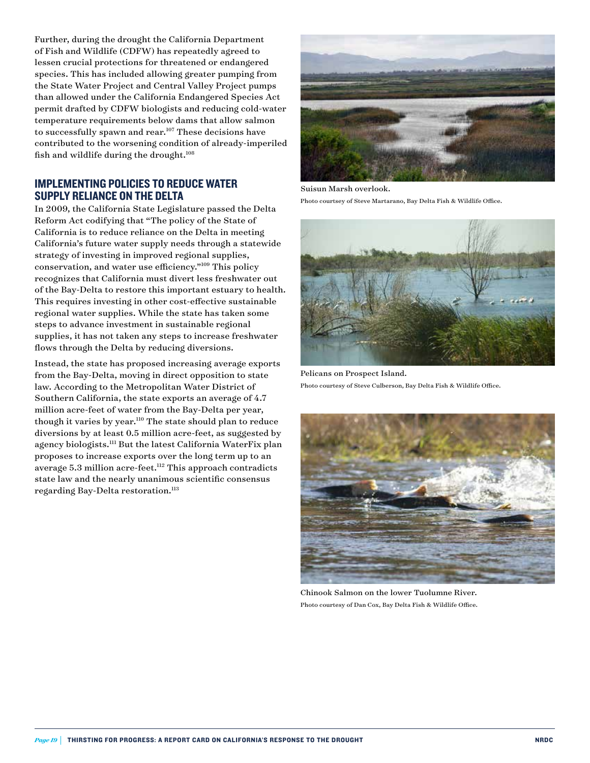Further, during the drought the California Department of Fish and Wildlife (CDFW) has repeatedly agreed to lessen crucial protections for threatened or endangered species. This has included allowing greater pumping from the State Water Project and Central Valley Project pumps than allowed under the California Endangered Species Act permit drafted by CDFW biologists and reducing cold-water temperature requirements below dams that allow salmon to successfully spawn and rear.<sup>107</sup> These decisions have contributed to the worsening condition of already-imperiled fish and wildlife during the drought. $108$ 

#### Implementing Policies to Reduce Water Supply Reliance on the Delta

In 2009, the California State Legislature passed the Delta Reform Act codifying that "The policy of the State of California is to reduce reliance on the Delta in meeting California's future water supply needs through a statewide strategy of investing in improved regional supplies, conservation, and water use efficiency."109 This policy recognizes that California must divert less freshwater out of the Bay-Delta to restore this important estuary to health. This requires investing in other cost-effective sustainable regional water supplies. While the state has taken some steps to advance investment in sustainable regional supplies, it has not taken any steps to increase freshwater flows through the Delta by reducing diversions.

Instead, the state has proposed increasing average exports from the Bay-Delta, moving in direct opposition to state law. According to the Metropolitan Water District of Southern California, the state exports an average of 4.7 million acre-feet of water from the Bay-Delta per year, though it varies by year.<sup>110</sup> The state should plan to reduce diversions by at least 0.5 million acre-feet, as suggested by agency biologists.111 But the latest California WaterFix plan proposes to increase exports over the long term up to an average 5.3 million acre-feet.<sup>112</sup> This approach contradicts state law and the nearly unanimous scientific consensus regarding Bay-Delta restoration.<sup>113</sup>



Suisun Marsh overlook. Photo courtsey of Steve Martarano, Bay Delta Fish & Wildlife Office.



Pelicans on Prospect Island. Photo courtesy of Steve Culberson, Bay Delta Fish & Wildlife Office.



Chinook Salmon on the lower Tuolumne River. Photo courtesy of Dan Cox, Bay Delta Fish & Wildlife Office.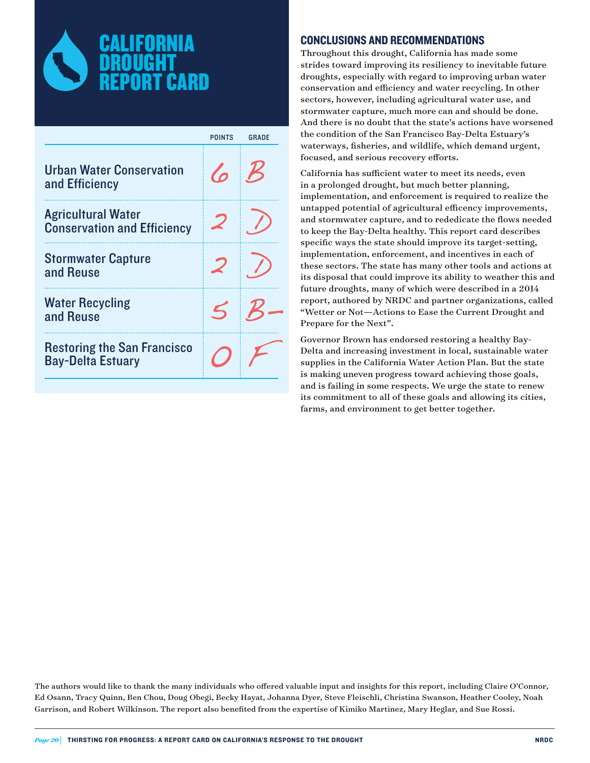

|                                                                 | <b>POINTS</b> | GRADE |
|-----------------------------------------------------------------|---------------|-------|
| <b>Urban Water Conservation</b><br>and Efficiency               | $\sqrt{2}$    |       |
| <b>Agricultural Water</b><br><b>Conservation and Efficiency</b> |               |       |
| <b>Stormwater Capture</b><br>and Reuse                          |               |       |
| <b>Water Recycling</b><br>and Reuse                             |               |       |
| <b>Restoring the San Francisco</b><br><b>Bay-Delta Estuary</b>  |               |       |

#### CONCLUSIONS AND RECOMMENDATIONS

Throughout this drought, California has made some strides toward improving its resiliency to inevitable future droughts, especially with regard to improving urban water conservation and efficiency and water recycling. In other sectors, however, including agricultural water use, and stormwater capture, much more can and should be done. And there is no doubt that the state's actions have worsened the condition of the San Francisco Bay-Delta Estuary's waterways, fisheries, and wildlife, which demand urgent, focused, and serious recovery efforts.

California has sufficient water to meet its needs, even in a prolonged drought, but much better planning, implementation, and enforcement is required to realize the untapped potential of agricultural efficency improvements, and stormwater capture, and to rededicate the flows needed to keep the Bay-Delta healthy. This report card describes specific ways the state should improve its target-setting, implementation, enforcement, and incentives in each of these sectors. The state has many other tools and actions at its disposal that could improve its ability to weather this and future droughts, many of which were described in a 2014 report, authored by NRDC and partner organizations, called "Wetter or Not—Actions to Ease the Current Drought and Prepare for the Next".

Governor Brown has endorsed restoring a healthy Bay-Delta and increasing investment in local, sustainable water supplies in the California Water Action Plan. But the state is making uneven progress toward achieving those goals, and is failing in some respects. We urge the state to renew its commitment to all of these goals and allowing its cities, farms, and environment to get better together.

The authors would like to thank the many individuals who offered valuable input and insights for this report, including Claire O'Connor, Ed Osann, Tracy Quinn, Ben Chou, Doug Obegi, Becky Hayat, Johanna Dyer, Steve Fleischli, Christina Swanson, Heather Cooley, Noah Garrison, and Robert Wilkinson. The report also benefited from the expertise of Kimiko Martinez, Mary Heglar, and Sue Rossi.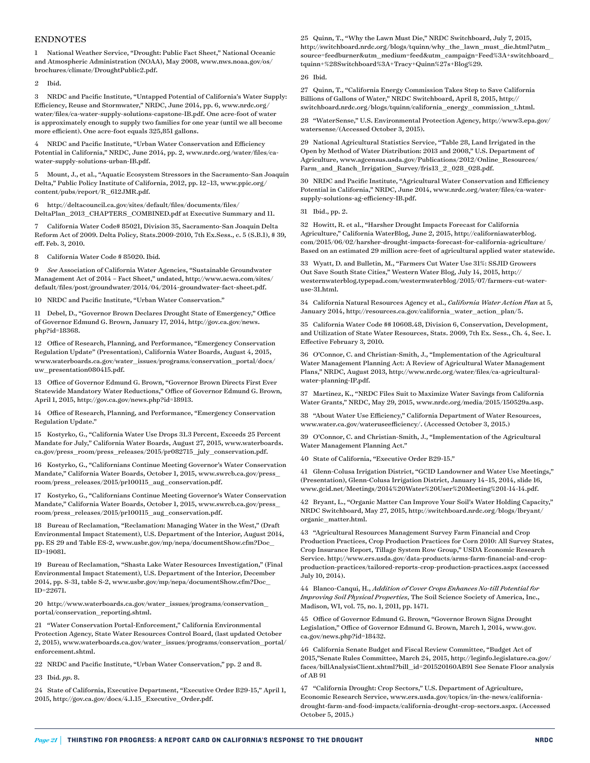#### ENDNOTES

1 National Weather Service, "Drought: Public Fact Sheet," National Oceanic and Atmospheric Administration (NOAA), May 2008, [www.nws.noaa.gov/os/](http://www.nws.noaa.gov/os/brochures/climate/DroughtPublic2.pdf) [brochures/climate/DroughtPublic2.pdf.](http://www.nws.noaa.gov/os/brochures/climate/DroughtPublic2.pdf)

2 Ibid.

3 NRDC and Pacific Institute, "Untapped Potential of California's Water Supply: Efficiency, Reuse and Stormwater," NRDC, June 2014, pp. 6, www.nrdc.org/ water/files/ca-water-supply-solutions-capstone-IB.pdf. One acre-foot of water is approximately enough to supply two families for one year (until we all become more efficient). One acre-foot equals 325,851 gallons.

4 NRDC and Pacific Institute, "Urban Water Conservation and Efficiency Potential in California," NRDC, June 2014, pp. 2, www.nrdc.org/water/files/cawater-supply-solutions-urban-IB.pdf.

5 Mount, J., et al., "Aquatic Ecosystem Stressors in the Sacramento-San Joaquin Delta," Public Policy Institute of California, 2012, pp. 12–13, [www.ppic.org/](file:///C:\Users\kpoole\AppData\Local\Microsoft\Windows\Temporary Internet Files\Content.Outlook\UFNBZ5MX\www.ppic.org\content\pubs\report\R_612JMR.pdf) [content/pubs/report/R\\_612JMR.pdf](file:///C:\Users\kpoole\AppData\Local\Microsoft\Windows\Temporary Internet Files\Content.Outlook\UFNBZ5MX\www.ppic.org\content\pubs\report\R_612JMR.pdf).

6 [http://deltacouncil.ca.gov/sites/default/files/documents/files/](http://deltacouncil.ca.gov/sites/default/files/documents/files/DeltaPlan_2013_CHAPTERS_COMBINED.pdf) [DeltaPlan\\_2013\\_CHAPTERS\\_COMBINED.pdf](http://deltacouncil.ca.gov/sites/default/files/documents/files/DeltaPlan_2013_CHAPTERS_COMBINED.pdf) at Executive Summary and 11.

7 California Water Code§ 85021, Division 35, Sacramento-San Joaquin Delta Reform Act of 2009. Delta Policy, [Stats.2009-2010, 7th Ex.Sess., c. 5 \(S.B.1\), § 39,](https://a.next.westlaw.com/Link/Document/FullText?findType=l&pubNum=1077005&cite=UUID%28ID13A7A80D0-A711DEAE3DF-B3744D42202%29&originatingDoc=N88F3E060E68011DEB299B7FB4D34B478&refType=SL&originationContext=document&transitionType=DocumentItem&contextData=%28sc.UserEnteredCitation%29)  [eff. Feb. 3, 2010](https://a.next.westlaw.com/Link/Document/FullText?findType=l&pubNum=1077005&cite=UUID%28ID13A7A80D0-A711DEAE3DF-B3744D42202%29&originatingDoc=N88F3E060E68011DEB299B7FB4D34B478&refType=SL&originationContext=document&transitionType=DocumentItem&contextData=%28sc.UserEnteredCitation%29).

8 California Water Code § 85020. Ibid*.*

9 *See* Association of California Water Agencies, "Sustainable Groundwater Management Act of 2014 – Fact Sheet," undated, http://www.acwa.com/sites/ default/files/post/groundwater/2014/04/2014-groundwater-fact-sheet.pdf.

10 NRDC and Pacific Institute, "Urban Water Conservation."

11 Debel, D., "Governor Brown Declares Drought State of Emergency," Office of Governor Edmund G. Brown, January 17, 2014, [http://gov.ca.gov/news.](http://gov.ca.gov/news.php?id=18368) [php?id=18368](http://gov.ca.gov/news.php?id=18368).

12 Office of Research, Planning, and Performance, "Emergency Conservation Regulation Update" (Presentation), California Water Boards, August 4, 2015, www.waterboards.ca.gov/water\_issues/programs/conservation\_portal/docs/ uw\_presentation080415.pdf.

13 Office of Governor Edmund G. Brown, "Governor Brown Directs First Ever Statewide Mandatory Water Reductions," Office of Governor Edmund G. Brown, April 1, 2015,<http://gov.ca.gov/news.php?id=18913>.

14 Office of Research, Planning, and Performance, "Emergency Conservation Regulation Update."

15 Kostyrko, G., "California Water Use Drops 31.3 Percent, Exceeds 25 Percent Mandate for July," California Water Boards, August 27, 2015, [www.waterboards.](file:///C:\Users\kpoole\AppData\Local\Microsoft\Windows\Temporary Internet Files\Content.Outlook\UFNBZ5MX\www.waterboards.ca.gov\press_room\press_releases\2015\pr082715_july_conservation.pdf) [ca.gov/press\\_room/press\\_releases/2015/pr082715\\_july\\_conservation.pdf](file:///C:\Users\kpoole\AppData\Local\Microsoft\Windows\Temporary Internet Files\Content.Outlook\UFNBZ5MX\www.waterboards.ca.gov\press_room\press_releases\2015\pr082715_july_conservation.pdf).

16 Kostyrko, G., "Californians Continue Meeting Governor's Water Conservation Mandate," California Water Boards, October 1, 2015, www.swrcb.ca.gov/press\_ room/press\_releases/2015/pr100115\_aug\_conservation.pdf.

17 Kostyrko, G., "Californians Continue Meeting Governor's Water Conservation Mandate," California Water Boards, October 1, 2015, www.swrcb.ca.gov/press\_ room/press\_releases/2015/pr100115\_aug\_conservation.pdf.

18 Bureau of Reclamation, "Reclamation: Managing Water in the West," (Draft Environmental Impact Statement), U.S. Department of the Interior, August 2014, pp. ES 29 and Table ES-2, www.usbr.gov/mp/nepa/documentShow.cfm?Doc\_ ID=19081.

19 Bureau of Reclamation, "Shasta Lake Water Resources Investigation," (Final Environmental Impact Statement), U.S. Department of the Interior, December 2014, pp. S-31, table S-2, www.usbr.gov/mp/nepa/documentShow.cfm?Doc\_ ID=22671.

20 [http://www.waterboards.ca.gov/water\\_issues/programs/conservation\\_](http://www.waterboards.ca.gov/water_issues/programs/conservation_portal/conservation_reporting.shtml) [portal/conservation\\_reporting.shtml](http://www.waterboards.ca.gov/water_issues/programs/conservation_portal/conservation_reporting.shtml).

21 "Water Conservation Portal-Enforcement," California Environmental Protection Agency, State Water Resources Control Board, (last updated October 2, 2015), [www.waterboards.ca.gov/water\\_issues/programs/conservation\\_portal/](http://www.waterboards.ca.gov/water_issues/programs/conservation_portal/enforcement.shtml) [enforcement.shtml.](http://www.waterboards.ca.gov/water_issues/programs/conservation_portal/enforcement.shtml)

22 NRDC and Pacific Institute, "Urban Water Conservation," pp. 2 and 8.

23 Ibid*. pp.* 8.

24 State of California, Executive Department, "Executive Order B29-15," April 1, 2015, [http://gov.ca.gov/docs/4.1.15\\_Executive\\_Order.pdf.](http://gov.ca.gov/docs/4.1.15_Executive_Order.pdf)

25 Quinn, T., "Why the Lawn Must Die," NRDC Switchboard, July 7, 2015, [http://switchboard.nrdc.org/blogs/tquinn/why\\_the\\_lawn\\_must\\_die.html?utm\\_](http://switchboard.nrdc.org/blogs/tquinn/why_the_lawn_must_die.html?utm_source=feedburner&utm_medium=feed&utm_campaign=Feed%3A+switchboard_tquinn+%28Switchboard%3A+Tracy+Quinn%27s+Blog%29) [source=feedburner&utm\\_medium=feed&utm\\_campaign=Feed%3A+switchboard\\_](http://switchboard.nrdc.org/blogs/tquinn/why_the_lawn_must_die.html?utm_source=feedburner&utm_medium=feed&utm_campaign=Feed%3A+switchboard_tquinn+%28Switchboard%3A+Tracy+Quinn%27s+Blog%29) [tquinn+%28Switchboard%3A+Tracy+Quinn%27s+Blog%29.](http://switchboard.nrdc.org/blogs/tquinn/why_the_lawn_must_die.html?utm_source=feedburner&utm_medium=feed&utm_campaign=Feed%3A+switchboard_tquinn+%28Switchboard%3A+Tracy+Quinn%27s+Blog%29)

#### 26 Ibid*.*

27 Quinn, T., "California Energy Commission Takes Step to Save California Billions of Gallons of Water," NRDC Switchboard, April 8, 2015, [http://](http://switchboard.nrdc.org/blogs/tquinn/california_energy_commission_t.html) [switchboard.nrdc.org/blogs/tquinn/california\\_energy\\_commission\\_t.html](http://switchboard.nrdc.org/blogs/tquinn/california_energy_commission_t.html).

28 "WaterSense," U.S. Environmental Protection Agency, [http://www3.epa.gov/](http://www3.epa.gov/watersense/) [watersense/\(](http://www3.epa.gov/watersense/)Accessed October 3, 2015).

29 National Agricultural Statistics Service, "Table 28, Land Irrigated in the Open by Method of Water Distribution: 2013 and 2008," U.S. Department of  $\label{eq:4} {\rm Agriculture, \,www.agesensus.} us da.gov/Publications/2012/Online\_Resources/$ [Farm\\_and\\_Ranch\\_Irrigation\\_Survey/fris13\\_2\\_028\\_028.pdf.](http://www.agcensus.usda.gov/Publications/2012/Online_Resources/Farm_and_Ranch_Irrigation_Survey/fris13_2_028_028.pdf)

30 NRDC and Pacific Institute, "Agricultural Water Conservation and Efficiency Potential in California," NRDC, June 2014, [www.nrdc.org/water/files/ca-water](http://www.nrdc.org/water/files/ca-water-supply-solutions-ag-efficiency-IB.pdf)[supply-solutions-ag-efficiency-IB.pdf](http://www.nrdc.org/water/files/ca-water-supply-solutions-ag-efficiency-IB.pdf).

31 Ibid., pp. 2.

32 Howitt, R. et al., "Harsher Drought Impacts Forecast for California Agriculture," California WaterBlog, June 2, 2015, [http://californiawaterblog.](http://californiawaterblog.com/2015/06/02/harsher-drought-impacts-forecast-for-california-agriculture/) [com/2015/06/02/harsher-drought-impacts-forecast-for-california-agriculture/](http://californiawaterblog.com/2015/06/02/harsher-drought-impacts-forecast-for-california-agriculture/)  Based on an estimated 29 million acre-feet of agricultural applied water statewide.

33 Wyatt, D. and Bulletin, M., "Farmers Cut Water Use 31%: SSJID Growers Out Save South State Cities," Western Water Blog, July 14, 2015, [http://](http://westernwaterblog.typepad.com/westernwaterblog/2015/07/farmers-cut-water-use-31.html) [westernwaterblog.typepad.com/westernwaterblog/2015/07/farmers-cut-water](http://westernwaterblog.typepad.com/westernwaterblog/2015/07/farmers-cut-water-use-31.html)[use-31.html](http://westernwaterblog.typepad.com/westernwaterblog/2015/07/farmers-cut-water-use-31.html).

34 California Natural Resources Agency et al., *California Water Action Plan* at 5, January 2014, http://resources.ca.gov/california\_water\_action\_plan/5.

35 California Water Code §§ 10608.48, Division 6, Conservation, Development, and Utilization of State Water Resources, Stats. 2009, 7th Ex. Sess., Ch. 4, Sec. 1. Effective February 3, 2010.

36 O'Connor, C. and Christian-Smith, J., "Implementation of the Agricultural Water Management Planning Act: A Review of Agricultural Water Management Plans," NRDC, August 2013, [http://www.nrdc.org/water/files/ca-agricultural](http://www.nrdc.org/water/files/ca-agricultural-water-planning-IP.pdf)[water-planning-IP.pdf](http://www.nrdc.org/water/files/ca-agricultural-water-planning-IP.pdf).

37 Martinez, K., "NRDC Files Suit to Maximize Water Savings from California Water Grants," NRDC, May 29, 2015, [www.nrdc.org/media/2015/150529a.asp](http://www.nrdc.org/media/2015/150529a.asp).

38 "About Water Use Efficiency," California Department of Water Resources, [www.water.ca.gov/wateruseefficiency/.](http://www.water.ca.gov/wateruseefficiency/) (Accessed October 3, 2015.)

39 O'Connor, C. and Christian-Smith, J., "Implementation of the Agricultural Water Management Planning Act."

40 State of California, "Executive Order B29-15."

41 Glenn-Colusa Irrigation District, "GCID Landowner and Water Use Meetings," (Presentation), Glenn-Colusa Irrigation District, January 14–15, 2014, slide 16, www.gcid.net/Meetings/2014%20Water%20User%20Meeting%201-14-14.pdf.

42 Bryant, L., "Organic Matter Can Improve Your Soil's Water Holding Capacity," NRDC Switchboard, May 27, 2015, [http://switchboard.nrdc.org/blogs/lbryant/](http://switchboard.nrdc.org/blogs/lbryant/organic_matter.html) [organic\\_matter.html](http://switchboard.nrdc.org/blogs/lbryant/organic_matter.html).

43 "Agricultural Resources Management Survey Farm Financial and Crop Production Practices, Crop Production Practices for Corn 2010: All Survey States, Crop Insurance Report, Tillage System Row Group," USDA Economic Research Service. http://www.ers.usda.gov/data-products/arms-farm-financial-and-cropproduction-practices/tailored-reports-crop-production-practices.aspx (accessed July 10, 2014).

44 Blanco-Canqui, H., *Addition of Cover Crops Enhances No-till Potential for Improving Soil Physical Properties*, The Soil Science Society of America, Inc., Madison, WI, vol. 75, no. 1, 2011, pp. 1471.

45 Office of Governor Edmund G. Brown, "Governor Brown Signs Drought Legislation," Office of Governor Edmund G. Brown, March 1, 2014, [www.gov.](http://www.gov.ca.gov/news.php?id=18432) [ca.gov/news.php?id=18432](http://www.gov.ca.gov/news.php?id=18432).

46 California Senate Budget and Fiscal Review Committee, "Budget Act of 2015,"Senate Rules Committee, March 24, 2015, [http://leginfo.legislature.ca.gov/](http://leginfo.legislature.ca.gov/faces/billAnalysisClient.xhtml?bill_id=201520160AB91) [faces/billAnalysisClient.xhtml?bill\\_id=201520160AB91](http://leginfo.legislature.ca.gov/faces/billAnalysisClient.xhtml?bill_id=201520160AB91) See Senate Floor analysis of AB 91

47 "California Drought: Crop Sectors," U.S. Department of Agriculture, Economic Research Service, [www.ers.usda.gov/topics/in-the-news/california](http://www.ers.usda.gov/topics/in-the-news/california-drought-farm-and-food-impacts/california-drought-crop-sectors.aspx)[drought-farm-and-food-impacts/california-drought-crop-sectors.aspx.](http://www.ers.usda.gov/topics/in-the-news/california-drought-farm-and-food-impacts/california-drought-crop-sectors.aspx) (Accessed October 5, 2015.)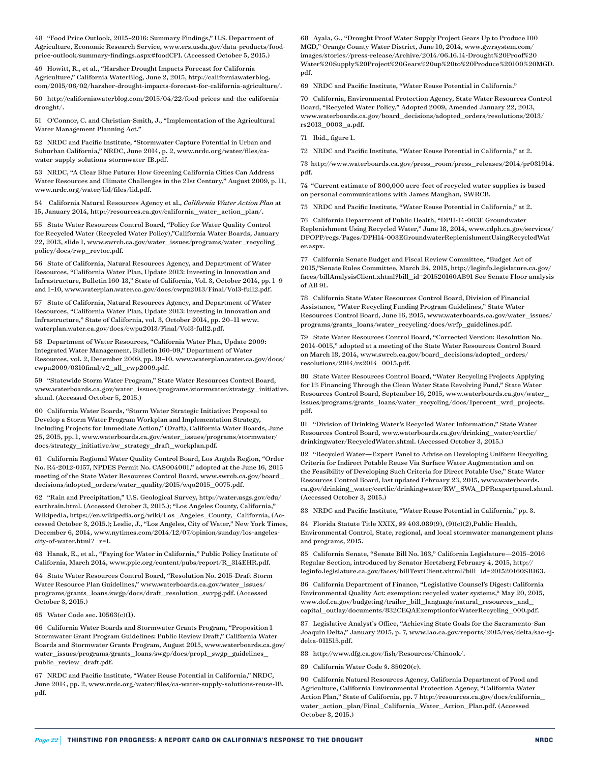48 "Food Price Outlook, 2015–2016: Summary Findings," U.S. Department of Agriculture, Economic Research Service, [www.ers.usda.gov/data-products/food](http://www.ers.usda.gov/data-products/food-price-outlook/summary-findings.aspx#foodCPI)[price-outlook/summary-findings.aspx#foodCPI.](http://www.ers.usda.gov/data-products/food-price-outlook/summary-findings.aspx#foodCPI) (Accessed October 5, 2015.)

49 Howitt, R., et al., "Harsher Drought Impacts Forecast for California Agriculture," California WaterBlog, June 2, 2015, [http://californiawaterblog.](http://californiawaterblog.com/2015/06/02/harsher-drought-impacts-forecast-for-california-agriculture/) [com/2015/06/02/harsher-drought-impacts-forecast-for-california-agriculture/.](http://californiawaterblog.com/2015/06/02/harsher-drought-impacts-forecast-for-california-agriculture/)

50 [http://californiawaterblog.com/2015/04/22/food-prices-and-the-california](http://californiawaterblog.com/2015/04/22/food-prices-and-the-california-drought/)[drought/.](http://californiawaterblog.com/2015/04/22/food-prices-and-the-california-drought/)

51 O'Connor, C. and Christian-Smith, J., "Implementation of the Agricultural Water Management Planning Act."

52 NRDC and Pacific Institute, "Stormwater Capture Potential in Urban and Suburban California," NRDC, June 2014, p. 2, [www.nrdc.org/water/files/ca](http://www.nrdc.org/water/files/ca-water-supply-solutions-stormwater-IB.pdf)[water-supply-solutions-stormwater-IB.pdf.](http://www.nrdc.org/water/files/ca-water-supply-solutions-stormwater-IB.pdf)

53 NRDC, "A Clear Blue Future: How Greening California Cities Can Address Water Resources and Climate Challenges in the 21st Century," August 2009, p. 11, www.nrdc.org/water/lid/files/lid.pdf.

54 California Natural Resources Agency et al., *California Water Action Plan* at 15, January 2014, http://resources.ca.gov/california\_water\_action\_plan/.

55 State Water Resources Control Board, "Policy for Water Quality Control for Recycled Water (Recycled Water Policy),"California Water Boards, January 22, 2013, slide 1, [www.swrcb.ca.gov/water\\_issues/programs/water\\_recycling\\_](http://www.swrcb.ca.gov/water_issues/programs/water_recycling_policy/docs/rwp_revtoc.pdf) [policy/docs/rwp\\_revtoc.pdf](http://www.swrcb.ca.gov/water_issues/programs/water_recycling_policy/docs/rwp_revtoc.pdf).

56 State of California, Natural Resources Agency, and Department of Water Resources, "California Water Plan, Update 2013: Investing in Innovation and Infrastructure, Bulletin 160-13," State of California, Vol. 3, October 2014, pp. 1–9 and 1–10, www.waterplan.water.ca.gov/docs/cwpu2013/Final/Vol3-full2.pdf.

57 State of California, Natural Resources Agency, and Department of Water Resources, "California Water Plan, Update 2013: Investing in Innovation and Infrastructure," State of California, vol. 3, October 2014, pp. 20–11 [www.](http://www.waterplan.water.ca.gov/docs/cwpu2013/Final/Vol3-full2.pdf) [waterplan.water.ca.gov/docs/cwpu2013/Final/Vol3-full2.pdf](http://www.waterplan.water.ca.gov/docs/cwpu2013/Final/Vol3-full2.pdf).

58 Department of Water Resources, "California Water Plan, Update 2009: Integrated Water Management, Bulletin 160-09," Department of Water Resources, vol. 2, December 2009, pp. 19–10. [www.waterplan.water.ca.gov/docs/](http://www.waterplan.water.ca.gov/docs/cwpu2009/0310final/v2_all_cwp2009.pdf) [cwpu2009/0310final/v2\\_all\\_cwp2009.pdf.](http://www.waterplan.water.ca.gov/docs/cwpu2009/0310final/v2_all_cwp2009.pdf)

59 "Statewide Storm Water Program," State Water Resources Control Board, [www.waterboards.ca.gov/water\\_issues/programs/stormwater/strategy\\_initiative.](http://www.waterboards.ca.gov/water_issues/programs/stormwater/strategy_initiative.shtml) [shtml](http://www.waterboards.ca.gov/water_issues/programs/stormwater/strategy_initiative.shtml). (Accessed October 5, 2015.)

60 California Water Boards, "Storm Water Strategic Initiative: Proposal to Develop a Storm Water Program Workplan and Implementation Strategy, Including Projects for Immediate Action," (Draft), California Water Boards, June 25, 2015, pp. 1, [www.waterboards.ca.gov/water\\_issues/programs/stormwater/](http://www.waterboards.ca.gov/water_issues/programs/stormwater/docs/strategy_initiative/sw_strategy_draft_workplan.pdf) [docs/strategy\\_initiative/sw\\_strategy\\_draft\\_workplan.pdf](http://www.waterboards.ca.gov/water_issues/programs/stormwater/docs/strategy_initiative/sw_strategy_draft_workplan.pdf).

61 California Regional Water Quality Control Board, Los Angels Region, "Order No. R4-2012-0157, NPDES Permit No. CAS004001," adopted at the June 16, 2015 meeting of the State Water Resources Control Board, [www.swrcb.ca.gov/board\\_](http://www.swrcb.ca.gov/board_decisions/adopted_orders/water_quality/2015/wqo2015_0075.pdf) [decisions/adopted\\_orders/water\\_quality/2015/wqo2015\\_0075.pdf.](http://www.swrcb.ca.gov/board_decisions/adopted_orders/water_quality/2015/wqo2015_0075.pdf)

62 "Rain and Precipitation," U.S. Geological Survey, [http://water.usgs.gov/edu/](http://water.usgs.gov/edu/earthrain.html) [earthrain.html](http://water.usgs.gov/edu/earthrain.html). (Accessed October 3, 2015.); "Los Angeles County, California," Wikipedia, [https://en.wikipedia.org/wiki/Los\\_Angeles\\_County,\\_California](https://en.wikipedia.org/wiki/Los_Angeles_County,_California), (Accessed October 3, 2015.); Leslie, J., "Los Angeles, City of Water," New York Times, December 6, 2014, [www.nytimes.com/2014/12/07/opinion/sunday/los-angeles](http://www.nytimes.com/2014/12/07/opinion/sunday/los-angeles-city-of-water.html?_r=1)[city-of-water.html?\\_r=1](http://www.nytimes.com/2014/12/07/opinion/sunday/los-angeles-city-of-water.html?_r=1).

63 Hanak, E., et al., "Paying for Water in California," Public Policy Institute of California, March 2014, [www.ppic.org/content/pubs/report/R\\_314EHR.pdf.](http://www.ppic.org/content/pubs/report/R_314EHR.pdf)

64 State Water Resources Control Board, "Resolution No. 2015-Draft Storm Water Resource Plan Guidelines," [www.waterboards.ca.gov/water\\_issues/](http://www.waterboards.ca.gov/water_issues/programs/grants_loans/swgp/docs/draft_resolution_swrpg.pdf) [programs/grants\\_loans/swgp/docs/draft\\_resolution\\_swrpg.pdf](http://www.waterboards.ca.gov/water_issues/programs/grants_loans/swgp/docs/draft_resolution_swrpg.pdf). (Accessed October 3, 2015.)

65 Water Code sec. 10563(c)(1).

66 California Water Boards and Stormwater Grants Program, "Proposition 1 Stormwater Grant Program Guidelines: Public Review Draft," California Water Boards and Stormwater Grants Program, August 2015, www.waterboards.ca.gov/ water\_issues/programs/grants\_loans/swgp/docs/prop1\_swgp\_guidelines\_ public\_review\_draft.pdf.

67 NRDC and Pacific Institute, "Water Reuse Potential in California," NRDC, June 2014, pp. 2, [www.nrdc.org/water/files/ca-water-supply-solutions-reuse-IB.](http://www.nrdc.org/water/files/ca-water-supply-solutions-reuse-IB.pdf) [pdf](http://www.nrdc.org/water/files/ca-water-supply-solutions-reuse-IB.pdf).

68 Ayala, G., "Drought Proof Water Supply Project Gears Up to Produce 100 MGD," Orange County Water District, June 10, 2014, [www.gwrsystem.com/](http://www.gwrsystem.com/images/stories//press-release/Archive/2014/06.16.14-Drought Proof Water Supply Project Gears up to Produce 100 MGD.pdf) [images/stories//press-release/Archive/2014/06.16.14-Drought%20Proof%20](http://www.gwrsystem.com/images/stories//press-release/Archive/2014/06.16.14-Drought Proof Water Supply Project Gears up to Produce 100 MGD.pdf) [Water%20Supply%20Project%20Gears%20up%20to%20Produce%20100%20MGD.](http://www.gwrsystem.com/images/stories//press-release/Archive/2014/06.16.14-Drought Proof Water Supply Project Gears up to Produce 100 MGD.pdf) [pdf](http://www.gwrsystem.com/images/stories//press-release/Archive/2014/06.16.14-Drought Proof Water Supply Project Gears up to Produce 100 MGD.pdf).

69 NRDC and Pacific Institute, "Water Reuse Potential in California."

70 California, Environmental Protection Agency, State Water Resources Control Board, "Recycled Water Policy," Adopted 2009, Amended January 22, 2013, [www.waterboards.ca.gov/board\\_decisions/adopted\\_orders/resolutions/2013/](http://www.waterboards.ca.gov/board_decisions/adopted_orders/resolutions/2013/rs2013_0003_a.pdf) [rs2013\\_0003\\_a.pdf](http://www.waterboards.ca.gov/board_decisions/adopted_orders/resolutions/2013/rs2013_0003_a.pdf).

71 Ibid., figure 1.

72 NRDC and Pacific Institute, "Water Reuse Potential in California," at 2.

73 http://www.waterboards.ca.gov/press\_room/press\_releases/2014/pr031914. pdf.

74 "Current estimate of 800,000 acre-feet of recycled water supplies is based on personal communications with James Maughan, SWRCB.

75 NRDC and Pacific Institute, "Water Reuse Potential in California," at 2.

76 California Department of Public Health, "DPH-14-003E Groundwater Replenishment Using Recycled Water," June 18, 2014, [www.cdph.ca.gov/services/](http://www.cdph.ca.gov/services/DPOPP/regs/Pages/DPH14-003EGroundwaterReplenishmentUsingRecycledWater.aspx) [DPOPP/regs/Pages/DPH14-003EGroundwaterReplenishmentUsingRecycledWat](http://www.cdph.ca.gov/services/DPOPP/regs/Pages/DPH14-003EGroundwaterReplenishmentUsingRecycledWater.aspx) [er.aspx](http://www.cdph.ca.gov/services/DPOPP/regs/Pages/DPH14-003EGroundwaterReplenishmentUsingRecycledWater.aspx).

77 California Senate Budget and Fiscal Review Committee, "Budget Act of 2015,"Senate Rules Committee, March 24, 2015, [http://leginfo.legislature.ca.gov/](http://leginfo.legislature.ca.gov/faces/billAnalysisClient.xhtml?bill_id=201520160AB91) [faces/billAnalysisClient.xhtml?bill\\_id=201520160AB91](http://leginfo.legislature.ca.gov/faces/billAnalysisClient.xhtml?bill_id=201520160AB91) See Senate Floor analysis of AB 91.

78 California State Water Resources Control Board, Division of Financial Assistance, "Water Recycling Funding Program Guidelines," State Water Resources Control Board, June 16, 2015, [www.waterboards.ca.gov/water\\_issues/](http://www.waterboards.ca.gov/water_issues/programs/grants_loans/water_recycling/docs/wrfp_guidelines.pdf) [programs/grants\\_loans/water\\_recycling/docs/wrfp\\_guidelines.pdf.](http://www.waterboards.ca.gov/water_issues/programs/grants_loans/water_recycling/docs/wrfp_guidelines.pdf)

79 State Water Resources Control Board, "Corrected Version: Resolution No. 2014-0015," adopted at a meeting of the State Water Resources Control Board on March 18, 2014, [www.swrcb.ca.gov/board\\_decisions/adopted\\_orders/](http://www.swrcb.ca.gov/board_decisions/adopted_orders/resolutions/2014/rs2014_0015.pdf) [resolutions/2014/rs2014\\_0015.pdf](http://www.swrcb.ca.gov/board_decisions/adopted_orders/resolutions/2014/rs2014_0015.pdf).

80 State Water Resources Control Board, "Water Recycling Projects Applying for 1% Financing Through the Clean Water State Revolving Fund," State Water Resources Control Board, September 16, 2015, [www.waterboards.ca.gov/water\\_](http://www.waterboards.ca.gov/water_issues/programs/grants_loans/water_recycling/docs/1percent_wrd_projects.pdf) [issues/programs/grants\\_loans/water\\_recycling/docs/1percent\\_wrd\\_projects.](http://www.waterboards.ca.gov/water_issues/programs/grants_loans/water_recycling/docs/1percent_wrd_projects.pdf) [pdf](http://www.waterboards.ca.gov/water_issues/programs/grants_loans/water_recycling/docs/1percent_wrd_projects.pdf).

81 "Division of Drinking Water's Recycled Water Information," State Water Resources Control Board, [www.waterboards.ca.gov/drinking\\_water/certlic/](http://www.waterboards.ca.gov/drinking_water/certlic/drinkingwater/RecycledWater.shtml) [drinkingwater/RecycledWater.shtml.](http://www.waterboards.ca.gov/drinking_water/certlic/drinkingwater/RecycledWater.shtml) (Accessed October 3, 2015.)

82 "Recycled Water—Expert Panel to Advise on Developing Uniform Recycling Criteria for Indirect Potable Reuse Via Surface Water Augmentation and on the Feasibility of Developing Such Criteria for Direct Potable Use," State Water Resources Control Board, last updated February 23, 2015, [www.waterboards.](http://www.waterboards.ca.gov/drinking_water/certlic/drinkingwater/RW_SWA_DPRexpertpanel.shtml) [ca.gov/drinking\\_water/certlic/drinkingwater/RW\\_SWA\\_DPRexpertpanel.shtml](http://www.waterboards.ca.gov/drinking_water/certlic/drinkingwater/RW_SWA_DPRexpertpanel.shtml). (Accessed October 3, 2015.)

83 NRDC and Pacific Institute, "Water Reuse Potential in California," pp. 3.

84 Florida Statute Title XXIX, §§ 403.089(9), (9)(c)(2),Public Health, Environmental Control, State, regional, and local stormwater manangement plans and programs, 2015.

85 California Senate, "Senate Bill No. 163," California Legislature—2015–2016 Regular Section, introduced by Senator Hertzberg February 4, 2015, [http://](http://leginfo.legislature.ca.gov/faces/billTextClient.xhtml?bill_id=201520160SB163) [leginfo.legislature.ca.gov/faces/billTextClient.xhtml?bill\\_id=201520160SB163](http://leginfo.legislature.ca.gov/faces/billTextClient.xhtml?bill_id=201520160SB163).

86 California Department of Finance, "Legislative Counsel's Digest: California Environmental Quality Act: exemption: recycled water systems," May 20, 2015, [www.dof.ca.gov/budgeting/trailer\\_bill\\_language/natural\\_resources\\_and\\_](http://www.dof.ca.gov/budgeting/trailer_bill_language/natural_resources_and_capital_outlay/documents/832CEQAExemptionforWaterRecycling_000.pdf) [capital\\_outlay/documents/832CEQAExemptionforWaterRecycling\\_000.pdf.](http://www.dof.ca.gov/budgeting/trailer_bill_language/natural_resources_and_capital_outlay/documents/832CEQAExemptionforWaterRecycling_000.pdf)

87 Legislative Analyst's Office, "Achieving State Goals for the Sacramento-San Joaquin Delta," January 2015, p. 7, www.lao.ca.gov/reports/2015/res/delta/sac-sjdelta-011515.pdf.

88 http://www.dfg.ca.gov/fish/Resources/Chinook/.

89 California Water Code §. 85020(c).

90 California Natural Resources Agency, California Department of Food and Agriculture, California Environmental Protection Agency, "California Water Action Plan," State of California, pp. 7 [http://resources.ca.gov/docs/california\\_](http://resources.ca.gov/docs/california_water_action_plan/Final_California_Water_Action_Plan.pdf) [water\\_action\\_plan/Final\\_California\\_Water\\_Action\\_Plan.pdf](http://resources.ca.gov/docs/california_water_action_plan/Final_California_Water_Action_Plan.pdf). (Accessed October 3, 2015.)